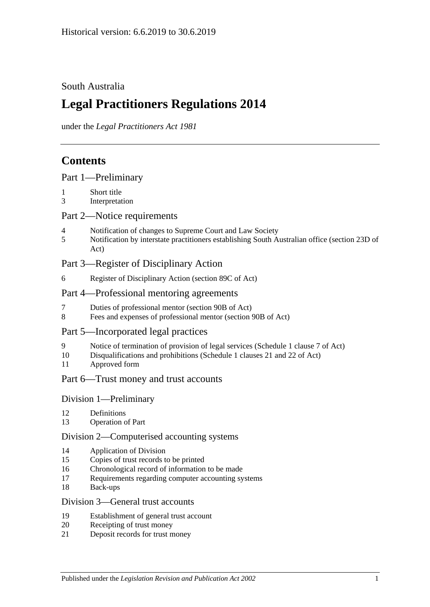## South Australia

# **Legal Practitioners Regulations 2014**

under the *Legal Practitioners Act 1981*

## **Contents**

| Part 1-Preliminary |  |
|--------------------|--|
|--------------------|--|

- 1 [Short title](#page-2-1)
- 3 [Interpretation](#page-2-2)

#### Part [2—Notice requirements](#page-2-3)

- 4 [Notification of changes to Supreme Court and Law Society](#page-2-4)
- 5 [Notification by interstate practitioners establishing South Australian office \(section](#page-3-0) 23D of [Act\)](#page-3-0)

## Part [3—Register of Disciplinary Action](#page-4-0)

6 [Register of Disciplinary Action \(section](#page-4-1) 89C of Act)

### Part [4—Professional mentoring agreements](#page-5-0)

- 7 [Duties of professional mentor \(section 90B of Act\)](#page-5-1)
- 8 [Fees and expenses of professional mentor \(section](#page-5-2) 90B of Act)

#### Part [5—Incorporated legal practices](#page-5-3)

- 9 [Notice of termination of provision of legal services \(Schedule](#page-5-4) 1 clause 7 of Act)
- 10 [Disqualifications and prohibitions \(Schedule](#page-5-5) 1 clauses 21 and 22 of Act)
- 11 [Approved form](#page-7-0)

#### Part [6—Trust money and trust accounts](#page-7-1)

#### Division [1—Preliminary](#page-7-2)

- 12 [Definitions](#page-7-3)
- 13 [Operation of Part](#page-7-4)

#### Division [2—Computerised accounting systems](#page-7-5)

- 14 [Application of Division](#page-7-6)
- 15 [Copies of trust records to be printed](#page-8-0)
- 16 [Chronological record of information to be made](#page-8-1)
- 17 [Requirements regarding computer accounting systems](#page-8-2)
- 18 [Back-ups](#page-9-0)

#### Division [3—General trust accounts](#page-9-1)

- 19 [Establishment of general trust account](#page-9-2)
- 20 [Receipting of trust money](#page-10-0)
- 21 [Deposit records for trust money](#page-11-0)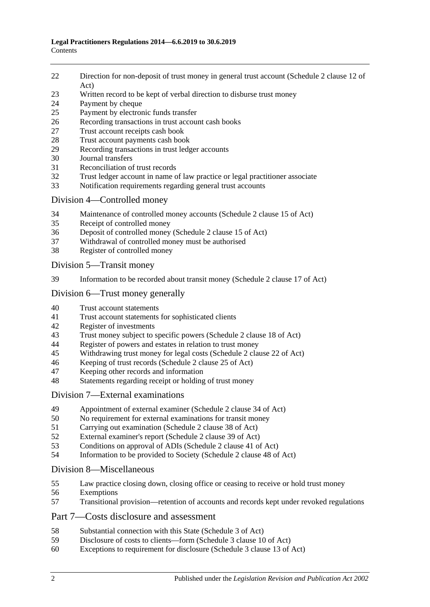- [Direction for non-deposit of trust money in general trust account \(Schedule](#page-11-1) 2 clause 12 of [Act\)](#page-11-1)
- [Written record to be kept of verbal direction to disburse trust money](#page-11-2)
- [Payment by cheque](#page-11-3)
- [Payment by electronic funds transfer](#page-13-0)
- [Recording transactions in trust account cash books](#page-14-0)
- [Trust account receipts cash book](#page-14-1)
- [Trust account payments cash book](#page-15-0)<br>29 Recording transactions in trust leds
- [Recording transactions in trust ledger accounts](#page-16-0)
- [Journal transfers](#page-17-0)
- [Reconciliation of trust records](#page-18-0)
- [Trust ledger account in name of law practice or legal practitioner associate](#page-18-1)
- [Notification requirements regarding general trust accounts](#page-19-0)

#### Division [4—Controlled money](#page-20-0)

- [Maintenance of controlled money accounts \(Schedule](#page-20-1) 2 clause 15 of Act)
- [Receipt of controlled money](#page-20-2)
- [Deposit of controlled money \(Schedule](#page-21-0) 2 clause 15 of Act)
- [Withdrawal of controlled money must be authorised](#page-21-1)
- [Register of controlled money](#page-22-0)

Division [5—Transit money](#page-23-0)

[Information to be recorded about transit money \(Schedule](#page-23-1) 2 clause 17 of Act)

### Division [6—Trust money generally](#page-23-2)

- [Trust account statements](#page-23-3)
- [Trust account statements for sophisticated clients](#page-24-0)
- [Register of investments](#page-24-1)<br>43 Trust money subject to s
- [Trust money subject to specific powers \(Schedule 2 clause 18 of Act\)](#page-25-0)
- [Register of powers and estates in relation to trust money](#page-25-1)
- [Withdrawing trust money for legal costs \(Schedule](#page-26-0) 2 clause 22 of Act)
- [Keeping of trust records \(Schedule](#page-27-0) 2 clause 25 of Act)
- [Keeping other records and information](#page-27-1)
- [Statements regarding receipt or holding of trust money](#page-27-2)

#### Division [7—External examinations](#page-28-0)

- [Appointment of external examiner \(Schedule](#page-28-1) 2 clause 34 of Act)
- [No requirement for external examinations for transit money](#page-28-2)
- [Carrying out examination \(Schedule](#page-29-0) 2 clause 38 of Act)
- [External examiner's report \(Schedule](#page-29-1) 2 clause 39 of Act)
- [Conditions on approval of ADIs \(Schedule](#page-30-0) 2 clause 41 of Act)
- [Information to be provided to Society \(Schedule](#page-31-0) 2 clause 48 of Act)

#### Division [8—Miscellaneous](#page-31-1)

- [Law practice closing down, closing office or ceasing to receive or hold trust money](#page-31-2)
- [Exemptions](#page-32-0)
- [Transitional provision—retention of accounts and records kept under revoked regulations](#page-32-1)

#### Part [7—Costs disclosure and assessment](#page-32-2)

- [Substantial connection with this State \(Schedule](#page-32-3) 3 of Act)
- [Disclosure of costs to clients—form \(Schedule](#page-33-0) 3 clause 10 of Act)
- [Exceptions to requirement for disclosure \(Schedule](#page-33-1) 3 clause 13 of Act)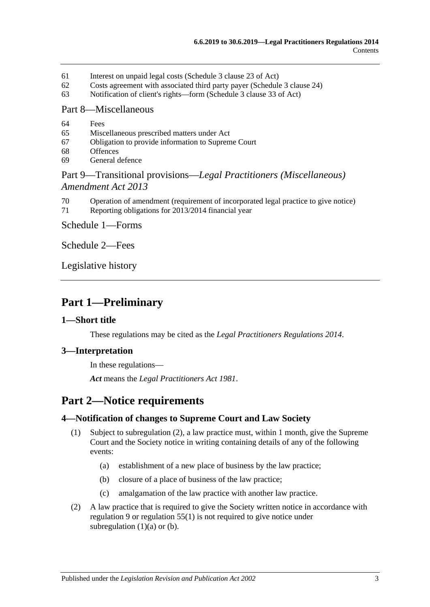- 61 [Interest on unpaid legal costs \(Schedule](#page-33-2) 3 clause 23 of Act)
- 62 [Costs agreement with associated third party payer \(Schedule](#page-33-3) 3 clause 24)
- 63 [Notification of client's rights—form \(Schedule](#page-33-4) 3 clause 33 of Act)

#### Part [8—Miscellaneous](#page-33-5)

- 64 [Fees](#page-33-6)
- 65 [Miscellaneous prescribed matters under Act](#page-34-0)
- 67 [Obligation to provide information to Supreme Court](#page-34-1)
- 68 [Offences](#page-34-2)
- 69 [General defence](#page-35-0)

### Part 9—Transitional provisions—*[Legal Practitioners \(Miscellaneous\)](#page-35-1)  [Amendment Act](#page-35-1) 2013*

- 70 [Operation of amendment \(requirement of incorporated legal](#page-35-2) practice to give notice)
- 71 [Reporting obligations for 2013/2014 financial year](#page-35-3)

Schedule [1—Forms](#page-35-4)

[Schedule](#page-36-0) 2—Fees

[Legislative history](#page-37-0)

## <span id="page-2-0"></span>**Part 1—Preliminary**

#### <span id="page-2-1"></span>**1—Short title**

These regulations may be cited as the *Legal Practitioners Regulations 2014*.

#### <span id="page-2-2"></span>**3—Interpretation**

In these regulations—

*Act* means the *[Legal Practitioners Act](http://www.legislation.sa.gov.au/index.aspx?action=legref&type=act&legtitle=Legal%20Practitioners%20Act%201981) 1981*.

## <span id="page-2-3"></span>**Part 2—Notice requirements**

#### <span id="page-2-8"></span><span id="page-2-4"></span>**4—Notification of changes to Supreme Court and Law Society**

- <span id="page-2-6"></span>(1) Subject to [subregulation](#page-2-5) (2), a law practice must, within 1 month, give the Supreme Court and the Society notice in writing containing details of any of the following events:
	- (a) establishment of a new place of business by the law practice;
	- (b) closure of a place of business of the law practice;
	- (c) amalgamation of the law practice with another law practice.
- <span id="page-2-7"></span><span id="page-2-5"></span>(2) A law practice that is required to give the Society written notice in accordance with [regulation](#page-5-4) 9 or [regulation](#page-31-3) 55(1) is not required to give notice under [subregulation](#page-2-6)  $(1)(a)$  or  $(b)$ .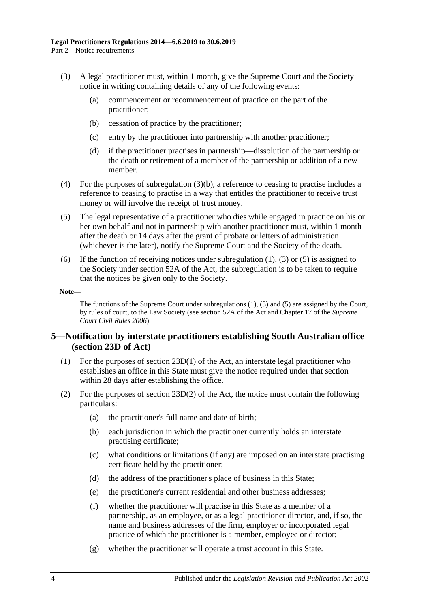- <span id="page-3-2"></span><span id="page-3-1"></span>(3) A legal practitioner must, within 1 month, give the Supreme Court and the Society notice in writing containing details of any of the following events:
	- (a) commencement or recommencement of practice on the part of the practitioner;
	- (b) cessation of practice by the practitioner;
	- (c) entry by the practitioner into partnership with another practitioner;
	- (d) if the practitioner practises in partnership—dissolution of the partnership or the death or retirement of a member of the partnership or addition of a new member.
- (4) For the purposes of [subregulation](#page-3-1) (3)(b), a reference to ceasing to practise includes a reference to ceasing to practise in a way that entitles the practitioner to receive trust money or will involve the receipt of trust money.
- <span id="page-3-3"></span>(5) The legal representative of a practitioner who dies while engaged in practice on his or her own behalf and not in partnership with another practitioner must, within 1 month after the death or 14 days after the grant of probate or letters of administration (whichever is the later), notify the Supreme Court and the Society of the death.
- (6) If the function of receiving notices under [subregulation](#page-2-8) (1), [\(3\)](#page-3-2) or [\(5\)](#page-3-3) is assigned to the Society under section 52A of the Act, the subregulation is to be taken to require that the notices be given only to the Society.

#### **Note—**

The functions of the Supreme Court unde[r subregulations](#page-2-8) (1), [\(3\)](#page-3-2) and [\(5\)](#page-3-3) are assigned by the Court, by rules of court, to the Law Society (see section 52A of the Act and Chapter 17 of the *Supreme Court Civil Rules 2006*).

#### <span id="page-3-0"></span>**5—Notification by interstate practitioners establishing South Australian office (section 23D of Act)**

- (1) For the purposes of section 23D(1) of the Act, an interstate legal practitioner who establishes an office in this State must give the notice required under that section within 28 days after establishing the office.
- (2) For the purposes of section  $23D(2)$  of the Act, the notice must contain the following particulars:
	- (a) the practitioner's full name and date of birth;
	- (b) each jurisdiction in which the practitioner currently holds an interstate practising certificate;
	- (c) what conditions or limitations (if any) are imposed on an interstate practising certificate held by the practitioner;
	- (d) the address of the practitioner's place of business in this State;
	- (e) the practitioner's current residential and other business addresses;
	- (f) whether the practitioner will practise in this State as a member of a partnership, as an employee, or as a legal practitioner director, and, if so, the name and business addresses of the firm, employer or incorporated legal practice of which the practitioner is a member, employee or director;
	- (g) whether the practitioner will operate a trust account in this State.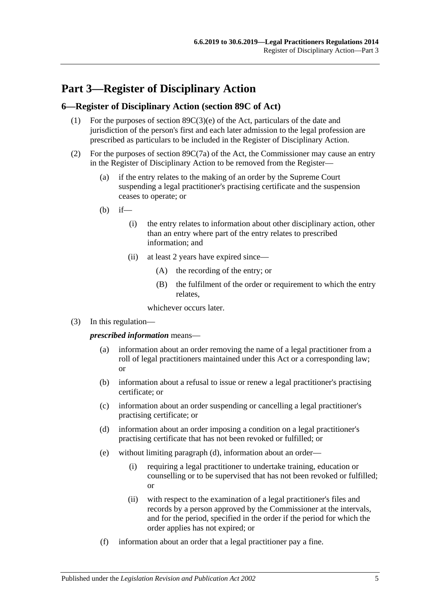## <span id="page-4-0"></span>**Part 3—Register of Disciplinary Action**

#### <span id="page-4-1"></span>**6—Register of Disciplinary Action (section 89C of Act)**

- (1) For the purposes of section 89C(3)(e) of the Act, particulars of the date and jurisdiction of the person's first and each later admission to the legal profession are prescribed as particulars to be included in the Register of Disciplinary Action.
- (2) For the purposes of section 89C(7a) of the Act, the Commissioner may cause an entry in the Register of Disciplinary Action to be removed from the Register—
	- (a) if the entry relates to the making of an order by the Supreme Court suspending a legal practitioner's practising certificate and the suspension ceases to operate; or
	- $(h)$  if—
		- (i) the entry relates to information about other disciplinary action, other than an entry where part of the entry relates to prescribed information; and
		- (ii) at least 2 years have expired since—
			- (A) the recording of the entry; or
			- (B) the fulfilment of the order or requirement to which the entry relates,

whichever occurs later.

(3) In this regulation—

*prescribed information* means—

- (a) information about an order removing the name of a legal practitioner from a roll of legal practitioners maintained under this Act or a corresponding law; or
- (b) information about a refusal to issue or renew a legal practitioner's practising certificate; or
- (c) information about an order suspending or cancelling a legal practitioner's practising certificate; or
- <span id="page-4-2"></span>(d) information about an order imposing a condition on a legal practitioner's practising certificate that has not been revoked or fulfilled; or
- (e) without limiting [paragraph](#page-4-2) (d), information about an order—
	- (i) requiring a legal practitioner to undertake training, education or counselling or to be supervised that has not been revoked or fulfilled; or
	- (ii) with respect to the examination of a legal practitioner's files and records by a person approved by the Commissioner at the intervals, and for the period, specified in the order if the period for which the order applies has not expired; or
- (f) information about an order that a legal practitioner pay a fine.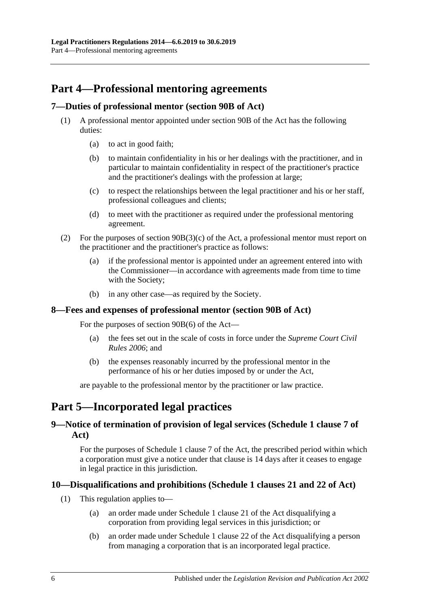## <span id="page-5-0"></span>**Part 4—Professional mentoring agreements**

#### <span id="page-5-1"></span>**7—Duties of professional mentor (section 90B of Act)**

- (1) A professional mentor appointed under section 90B of the Act has the following duties:
	- (a) to act in good faith;
	- (b) to maintain confidentiality in his or her dealings with the practitioner, and in particular to maintain confidentiality in respect of the practitioner's practice and the practitioner's dealings with the profession at large;
	- (c) to respect the relationships between the legal practitioner and his or her staff, professional colleagues and clients;
	- (d) to meet with the practitioner as required under the professional mentoring agreement.
- (2) For the purposes of section 90B(3)(c) of the Act, a professional mentor must report on the practitioner and the practitioner's practice as follows:
	- (a) if the professional mentor is appointed under an agreement entered into with the Commissioner—in accordance with agreements made from time to time with the Society;
	- (b) in any other case—as required by the Society.

#### <span id="page-5-2"></span>**8—Fees and expenses of professional mentor (section 90B of Act)**

For the purposes of section 90B(6) of the Act—

- (a) the fees set out in the scale of costs in force under the *Supreme Court Civil Rules 2006*; and
- (b) the expenses reasonably incurred by the professional mentor in the performance of his or her duties imposed by or under the Act,

are payable to the professional mentor by the practitioner or law practice.

## <span id="page-5-3"></span>**Part 5—Incorporated legal practices**

### <span id="page-5-4"></span>**9—Notice of termination of provision of legal services (Schedule 1 clause 7 of Act)**

For the purposes of Schedule 1 clause 7 of the Act, the prescribed period within which a corporation must give a notice under that clause is 14 days after it ceases to engage in legal practice in this jurisdiction.

#### <span id="page-5-5"></span>**10—Disqualifications and prohibitions (Schedule 1 clauses 21 and 22 of Act)**

- (1) This regulation applies to—
	- (a) an order made under Schedule 1 clause 21 of the Act disqualifying a corporation from providing legal services in this jurisdiction; or
	- (b) an order made under Schedule 1 clause 22 of the Act disqualifying a person from managing a corporation that is an incorporated legal practice.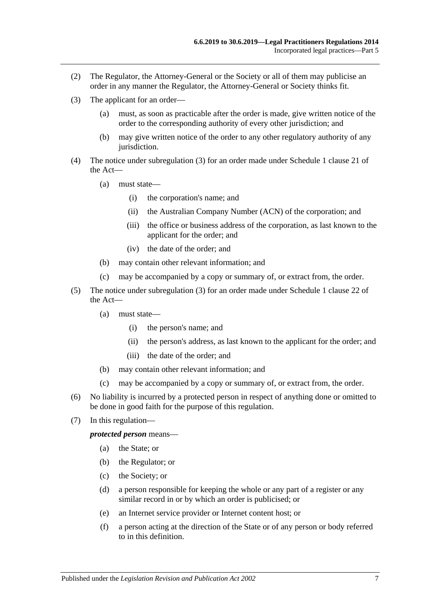- (2) The Regulator, the Attorney-General or the Society or all of them may publicise an order in any manner the Regulator, the Attorney-General or Society thinks fit.
- <span id="page-6-0"></span>(3) The applicant for an order—
	- (a) must, as soon as practicable after the order is made, give written notice of the order to the corresponding authority of every other jurisdiction; and
	- (b) may give written notice of the order to any other regulatory authority of any jurisdiction.
- (4) The notice under [subregulation](#page-6-0) (3) for an order made under Schedule 1 clause 21 of the Act—
	- (a) must state—
		- (i) the corporation's name; and
		- (ii) the Australian Company Number (ACN) of the corporation; and
		- (iii) the office or business address of the corporation, as last known to the applicant for the order; and
		- (iv) the date of the order; and
	- (b) may contain other relevant information; and
	- (c) may be accompanied by a copy or summary of, or extract from, the order.
- (5) The notice under [subregulation](#page-6-0) (3) for an order made under Schedule 1 clause 22 of the Act—
	- (a) must state—
		- (i) the person's name; and
		- (ii) the person's address, as last known to the applicant for the order; and
		- (iii) the date of the order; and
	- (b) may contain other relevant information; and
	- (c) may be accompanied by a copy or summary of, or extract from, the order.
- (6) No liability is incurred by a protected person in respect of anything done or omitted to be done in good faith for the purpose of this regulation.
- (7) In this regulation—

*protected person* means—

- (a) the State; or
- (b) the Regulator; or
- (c) the Society; or
- (d) a person responsible for keeping the whole or any part of a register or any similar record in or by which an order is publicised; or
- (e) an Internet service provider or Internet content host; or
- (f) a person acting at the direction of the State or of any person or body referred to in this definition.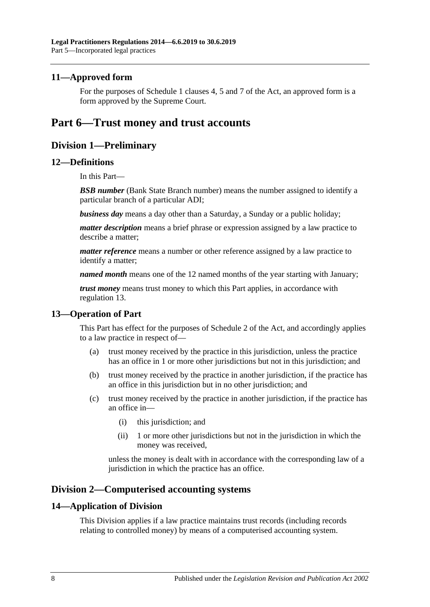#### <span id="page-7-0"></span>**11—Approved form**

For the purposes of Schedule 1 clauses 4, 5 and 7 of the Act, an approved form is a form approved by the Supreme Court.

## <span id="page-7-2"></span><span id="page-7-1"></span>**Part 6—Trust money and trust accounts**

## **Division 1—Preliminary**

#### <span id="page-7-3"></span>**12—Definitions**

In this Part—

**BSB number** (Bank State Branch number) means the number assigned to identify a particular branch of a particular ADI;

*business day* means a day other than a Saturday, a Sunday or a public holiday;

*matter description* means a brief phrase or expression assigned by a law practice to describe a matter;

*matter reference* means a number or other reference assigned by a law practice to identify a matter;

*named month* means one of the 12 named months of the year starting with January;

*trust money* means trust money to which this Part applies, in accordance with [regulation](#page-7-4) 13.

#### <span id="page-7-4"></span>**13—Operation of Part**

This Part has effect for the purposes of Schedule 2 of the Act, and accordingly applies to a law practice in respect of—

- (a) trust money received by the practice in this jurisdiction, unless the practice has an office in 1 or more other jurisdictions but not in this jurisdiction; and
- (b) trust money received by the practice in another jurisdiction, if the practice has an office in this jurisdiction but in no other jurisdiction; and
- (c) trust money received by the practice in another jurisdiction, if the practice has an office in—
	- (i) this jurisdiction; and
	- (ii) 1 or more other jurisdictions but not in the jurisdiction in which the money was received,

unless the money is dealt with in accordance with the corresponding law of a jurisdiction in which the practice has an office.

## <span id="page-7-5"></span>**Division 2—Computerised accounting systems**

#### <span id="page-7-6"></span>**14—Application of Division**

This Division applies if a law practice maintains trust records (including records relating to controlled money) by means of a computerised accounting system.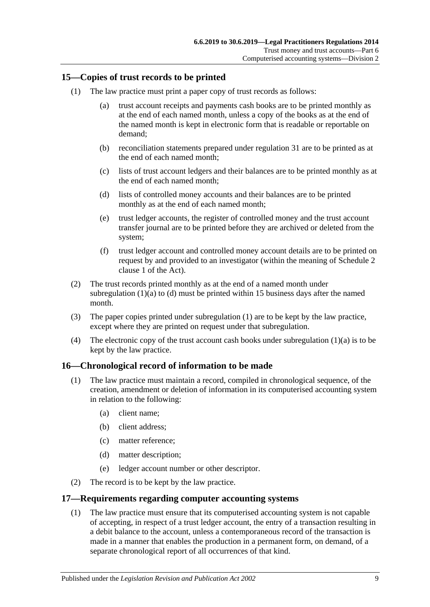#### <span id="page-8-5"></span><span id="page-8-0"></span>**15—Copies of trust records to be printed**

- <span id="page-8-3"></span>(1) The law practice must print a paper copy of trust records as follows:
	- (a) trust account receipts and payments cash books are to be printed monthly as at the end of each named month, unless a copy of the books as at the end of the named month is kept in electronic form that is readable or reportable on demand;
	- (b) reconciliation statements prepared under [regulation](#page-18-0) 31 are to be printed as at the end of each named month;
	- (c) lists of trust account ledgers and their balances are to be printed monthly as at the end of each named month;
	- (d) lists of controlled money accounts and their balances are to be printed monthly as at the end of each named month;
	- (e) trust ledger accounts, the register of controlled money and the trust account transfer journal are to be printed before they are archived or deleted from the system;
	- (f) trust ledger account and controlled money account details are to be printed on request by and provided to an investigator (within the meaning of Schedule 2 clause 1 of the Act).
- <span id="page-8-4"></span>(2) The trust records printed monthly as at the end of a named month under [subregulation](#page-8-3)  $(1)(a)$  to  $(d)$  must be printed within 15 business days after the named month.
- (3) The paper copies printed under [subregulation](#page-8-5) (1) are to be kept by the law practice, except where they are printed on request under that subregulation.
- (4) The electronic copy of the trust account cash books under [subregulation](#page-8-3)  $(1)(a)$  is to be kept by the law practice.

#### <span id="page-8-1"></span>**16—Chronological record of information to be made**

- (1) The law practice must maintain a record, compiled in chronological sequence, of the creation, amendment or deletion of information in its computerised accounting system in relation to the following:
	- (a) client name;
	- (b) client address;
	- (c) matter reference;
	- (d) matter description;
	- (e) ledger account number or other descriptor.
- (2) The record is to be kept by the law practice.

#### <span id="page-8-2"></span>**17—Requirements regarding computer accounting systems**

(1) The law practice must ensure that its computerised accounting system is not capable of accepting, in respect of a trust ledger account, the entry of a transaction resulting in a debit balance to the account, unless a contemporaneous record of the transaction is made in a manner that enables the production in a permanent form, on demand, of a separate chronological report of all occurrences of that kind.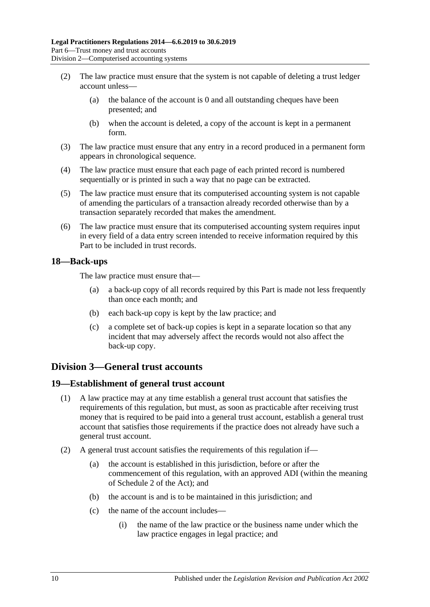- (2) The law practice must ensure that the system is not capable of deleting a trust ledger account unless—
	- (a) the balance of the account is 0 and all outstanding cheques have been presented; and
	- (b) when the account is deleted, a copy of the account is kept in a permanent form.
- (3) The law practice must ensure that any entry in a record produced in a permanent form appears in chronological sequence.
- (4) The law practice must ensure that each page of each printed record is numbered sequentially or is printed in such a way that no page can be extracted.
- (5) The law practice must ensure that its computerised accounting system is not capable of amending the particulars of a transaction already recorded otherwise than by a transaction separately recorded that makes the amendment.
- (6) The law practice must ensure that its computerised accounting system requires input in every field of a data entry screen intended to receive information required by this Part to be included in trust records.

#### <span id="page-9-0"></span>**18—Back-ups**

The law practice must ensure that—

- (a) a back-up copy of all records required by this Part is made not less frequently than once each month; and
- (b) each back-up copy is kept by the law practice; and
- (c) a complete set of back-up copies is kept in a separate location so that any incident that may adversely affect the records would not also affect the back-up copy.

## <span id="page-9-1"></span>**Division 3—General trust accounts**

#### <span id="page-9-2"></span>**19—Establishment of general trust account**

- (1) A law practice may at any time establish a general trust account that satisfies the requirements of this regulation, but must, as soon as practicable after receiving trust money that is required to be paid into a general trust account, establish a general trust account that satisfies those requirements if the practice does not already have such a general trust account.
- <span id="page-9-3"></span>(2) A general trust account satisfies the requirements of this regulation if—
	- (a) the account is established in this jurisdiction, before or after the commencement of this regulation, with an approved ADI (within the meaning of Schedule 2 of the Act); and
	- (b) the account is and is to be maintained in this jurisdiction; and
	- (c) the name of the account includes—
		- (i) the name of the law practice or the business name under which the law practice engages in legal practice; and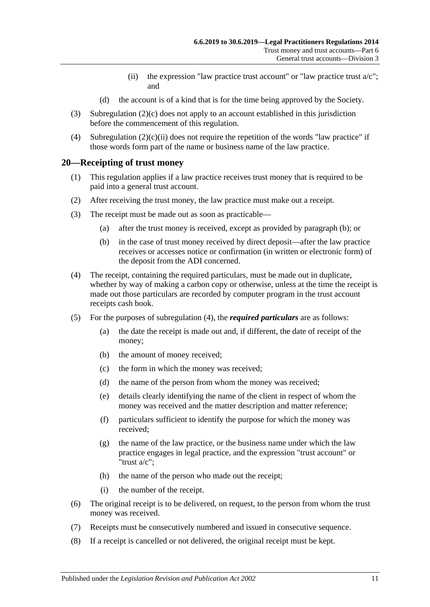- (ii) the expression "law practice trust account" or "law practice trust  $a/c$ "; and
- (d) the account is of a kind that is for the time being approved by the Society.
- <span id="page-10-1"></span>(3) [Subregulation](#page-9-3) (2)(c) does not apply to an account established in this jurisdiction before the commencement of this regulation.
- (4) [Subregulation](#page-10-1)  $(2)(c)(ii)$  does not require the repetition of the words "law practice" if those words form part of the name or business name of the law practice.

#### <span id="page-10-0"></span>**20—Receipting of trust money**

- (1) This regulation applies if a law practice receives trust money that is required to be paid into a general trust account.
- (2) After receiving the trust money, the law practice must make out a receipt.
- <span id="page-10-2"></span>(3) The receipt must be made out as soon as practicable—
	- (a) after the trust money is received, except as provided by [paragraph](#page-10-2) (b); or
	- (b) in the case of trust money received by direct deposit—after the law practice receives or accesses notice or confirmation (in written or electronic form) of the deposit from the ADI concerned.
- <span id="page-10-3"></span>(4) The receipt, containing the required particulars, must be made out in duplicate, whether by way of making a carbon copy or otherwise, unless at the time the receipt is made out those particulars are recorded by computer program in the trust account receipts cash book.
- (5) For the purposes of [subregulation](#page-10-3) (4), the *required particulars* are as follows:
	- (a) the date the receipt is made out and, if different, the date of receipt of the money;
	- (b) the amount of money received;
	- (c) the form in which the money was received;
	- (d) the name of the person from whom the money was received;
	- (e) details clearly identifying the name of the client in respect of whom the money was received and the matter description and matter reference;
	- (f) particulars sufficient to identify the purpose for which the money was received;
	- (g) the name of the law practice, or the business name under which the law practice engages in legal practice, and the expression "trust account" or "trust a/c";
	- (h) the name of the person who made out the receipt;
	- (i) the number of the receipt.
- (6) The original receipt is to be delivered, on request, to the person from whom the trust money was received.
- (7) Receipts must be consecutively numbered and issued in consecutive sequence.
- (8) If a receipt is cancelled or not delivered, the original receipt must be kept.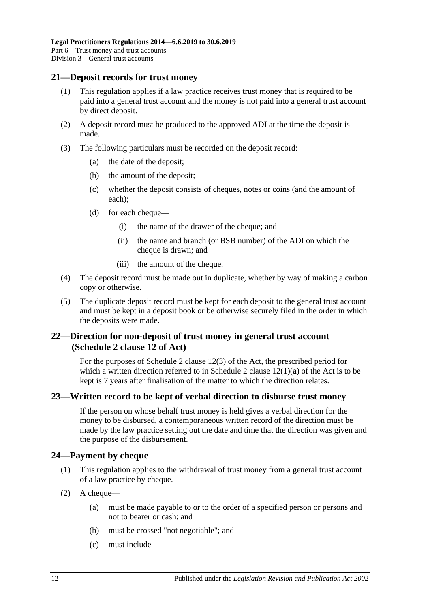#### <span id="page-11-0"></span>**21—Deposit records for trust money**

- (1) This regulation applies if a law practice receives trust money that is required to be paid into a general trust account and the money is not paid into a general trust account by direct deposit.
- (2) A deposit record must be produced to the approved ADI at the time the deposit is made.
- (3) The following particulars must be recorded on the deposit record:
	- (a) the date of the deposit;
	- (b) the amount of the deposit;
	- (c) whether the deposit consists of cheques, notes or coins (and the amount of each);
	- (d) for each cheque—
		- (i) the name of the drawer of the cheque; and
		- (ii) the name and branch (or BSB number) of the ADI on which the cheque is drawn; and
		- (iii) the amount of the cheque.
- (4) The deposit record must be made out in duplicate, whether by way of making a carbon copy or otherwise.
- (5) The duplicate deposit record must be kept for each deposit to the general trust account and must be kept in a deposit book or be otherwise securely filed in the order in which the deposits were made.

## <span id="page-11-1"></span>**22—Direction for non-deposit of trust money in general trust account (Schedule 2 clause 12 of Act)**

For the purposes of Schedule 2 clause 12(3) of the Act, the prescribed period for which a written direction referred to in Schedule 2 clause  $12(1)(a)$  of the Act is to be kept is 7 years after finalisation of the matter to which the direction relates.

## <span id="page-11-2"></span>**23—Written record to be kept of verbal direction to disburse trust money**

If the person on whose behalf trust money is held gives a verbal direction for the money to be disbursed, a contemporaneous written record of the direction must be made by the law practice setting out the date and time that the direction was given and the purpose of the disbursement.

#### <span id="page-11-3"></span>**24—Payment by cheque**

- (1) This regulation applies to the withdrawal of trust money from a general trust account of a law practice by cheque.
- <span id="page-11-4"></span>(2) A cheque—
	- (a) must be made payable to or to the order of a specified person or persons and not to bearer or cash; and
	- (b) must be crossed "not negotiable"; and
	- (c) must include—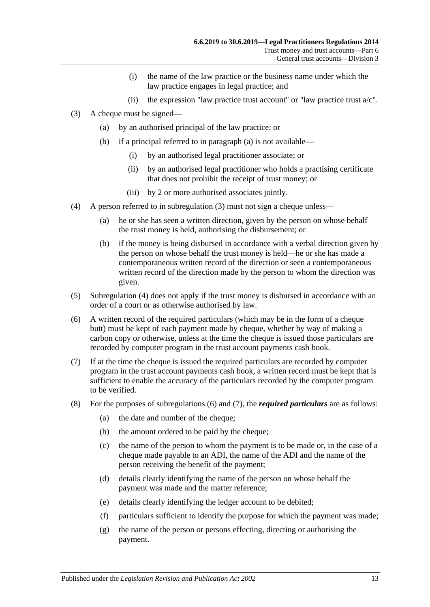- (i) the name of the law practice or the business name under which the law practice engages in legal practice; and
- (ii) the expression "law practice trust account" or "law practice trust  $a/c$ ".
- <span id="page-12-5"></span><span id="page-12-1"></span><span id="page-12-0"></span>(3) A cheque must be signed—
	- (a) by an authorised principal of the law practice; or
	- (b) if a principal referred to in [paragraph](#page-12-0) (a) is not available—
		- (i) by an authorised legal practitioner associate; or
		- (ii) by an authorised legal practitioner who holds a practising certificate that does not prohibit the receipt of trust money; or
		- (iii) by 2 or more authorised associates jointly.
- <span id="page-12-2"></span>(4) A person referred to in [subregulation](#page-12-1) (3) must not sign a cheque unless—
	- (a) he or she has seen a written direction, given by the person on whose behalf the trust money is held, authorising the disbursement; or
	- (b) if the money is being disbursed in accordance with a verbal direction given by the person on whose behalf the trust money is held—he or she has made a contemporaneous written record of the direction or seen a contemporaneous written record of the direction made by the person to whom the direction was given.
- (5) [Subregulation](#page-12-2) (4) does not apply if the trust money is disbursed in accordance with an order of a court or as otherwise authorised by law.
- <span id="page-12-3"></span>(6) A written record of the required particulars (which may be in the form of a cheque butt) must be kept of each payment made by cheque, whether by way of making a carbon copy or otherwise, unless at the time the cheque is issued those particulars are recorded by computer program in the trust account payments cash book.
- <span id="page-12-4"></span>(7) If at the time the cheque is issued the required particulars are recorded by computer program in the trust account payments cash book, a written record must be kept that is sufficient to enable the accuracy of the particulars recorded by the computer program to be verified.
- (8) For the purposes of [subregulations](#page-12-3) (6) and [\(7\),](#page-12-4) the *required particulars* are as follows:
	- (a) the date and number of the cheque;
	- (b) the amount ordered to be paid by the cheque;
	- (c) the name of the person to whom the payment is to be made or, in the case of a cheque made payable to an ADI, the name of the ADI and the name of the person receiving the benefit of the payment;
	- (d) details clearly identifying the name of the person on whose behalf the payment was made and the matter reference;
	- (e) details clearly identifying the ledger account to be debited;
	- (f) particulars sufficient to identify the purpose for which the payment was made;
	- (g) the name of the person or persons effecting, directing or authorising the payment.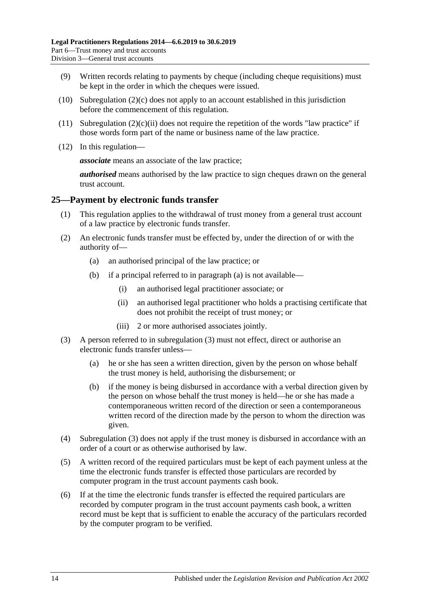- (9) Written records relating to payments by cheque (including cheque requisitions) must be kept in the order in which the cheques were issued.
- (10) [Subregulation](#page-11-4)  $(2)(c)$  does not apply to an account established in this jurisdiction before the commencement of this regulation.
- (11) [Subregulation](#page-12-5)  $(2)(c)(ii)$  does not require the repetition of the words "law practice" if those words form part of the name or business name of the law practice.
- (12) In this regulation—

*associate* means an associate of the law practice;

*authorised* means authorised by the law practice to sign cheques drawn on the general trust account.

#### <span id="page-13-0"></span>**25—Payment by electronic funds transfer**

- (1) This regulation applies to the withdrawal of trust money from a general trust account of a law practice by electronic funds transfer.
- <span id="page-13-1"></span>(2) An electronic funds transfer must be effected by, under the direction of or with the authority of—
	- (a) an authorised principal of the law practice; or
	- (b) if a principal referred to in [paragraph](#page-13-1) (a) is not available—
		- (i) an authorised legal practitioner associate; or
		- (ii) an authorised legal practitioner who holds a practising certificate that does not prohibit the receipt of trust money; or
		- (iii) 2 or more authorised associates jointly.
- <span id="page-13-2"></span>(3) A person referred to in [subregulation](#page-12-1) (3) must not effect, direct or authorise an electronic funds transfer unless—
	- (a) he or she has seen a written direction, given by the person on whose behalf the trust money is held, authorising the disbursement; or
	- (b) if the money is being disbursed in accordance with a verbal direction given by the person on whose behalf the trust money is held—he or she has made a contemporaneous written record of the direction or seen a contemporaneous written record of the direction made by the person to whom the direction was given.
- (4) [Subregulation](#page-13-2) (3) does not apply if the trust money is disbursed in accordance with an order of a court or as otherwise authorised by law.
- <span id="page-13-3"></span>(5) A written record of the required particulars must be kept of each payment unless at the time the electronic funds transfer is effected those particulars are recorded by computer program in the trust account payments cash book.
- <span id="page-13-4"></span>(6) If at the time the electronic funds transfer is effected the required particulars are recorded by computer program in the trust account payments cash book, a written record must be kept that is sufficient to enable the accuracy of the particulars recorded by the computer program to be verified.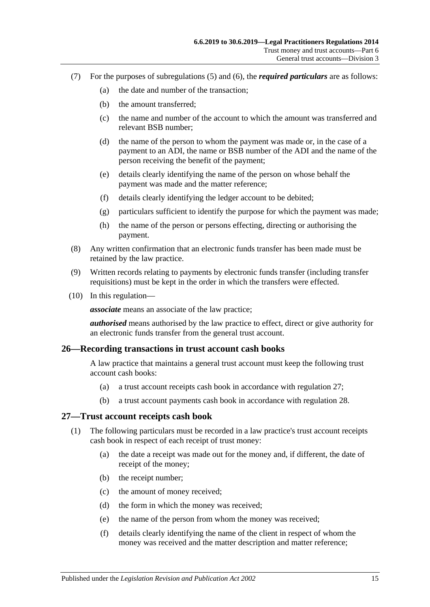- (7) For the purposes of [subregulations](#page-13-3) (5) and [\(6\),](#page-13-4) the *required particulars* are as follows:
	- (a) the date and number of the transaction;
	- (b) the amount transferred;
	- (c) the name and number of the account to which the amount was transferred and relevant BSB number;
	- (d) the name of the person to whom the payment was made or, in the case of a payment to an ADI, the name or BSB number of the ADI and the name of the person receiving the benefit of the payment;
	- (e) details clearly identifying the name of the person on whose behalf the payment was made and the matter reference;
	- (f) details clearly identifying the ledger account to be debited;
	- (g) particulars sufficient to identify the purpose for which the payment was made;
	- (h) the name of the person or persons effecting, directing or authorising the payment.
- (8) Any written confirmation that an electronic funds transfer has been made must be retained by the law practice.
- (9) Written records relating to payments by electronic funds transfer (including transfer requisitions) must be kept in the order in which the transfers were effected.
- (10) In this regulation—

*associate* means an associate of the law practice;

*authorised* means authorised by the law practice to effect, direct or give authority for an electronic funds transfer from the general trust account.

#### <span id="page-14-0"></span>**26—Recording transactions in trust account cash books**

A law practice that maintains a general trust account must keep the following trust account cash books:

- (a) a trust account receipts cash book in accordance with [regulation](#page-14-1) 27;
- (b) a trust account payments cash book in accordance with [regulation](#page-15-0) 28.

#### <span id="page-14-1"></span>**27—Trust account receipts cash book**

- (1) The following particulars must be recorded in a law practice's trust account receipts cash book in respect of each receipt of trust money:
	- (a) the date a receipt was made out for the money and, if different, the date of receipt of the money;
	- (b) the receipt number;
	- (c) the amount of money received;
	- (d) the form in which the money was received;
	- (e) the name of the person from whom the money was received;
	- (f) details clearly identifying the name of the client in respect of whom the money was received and the matter description and matter reference;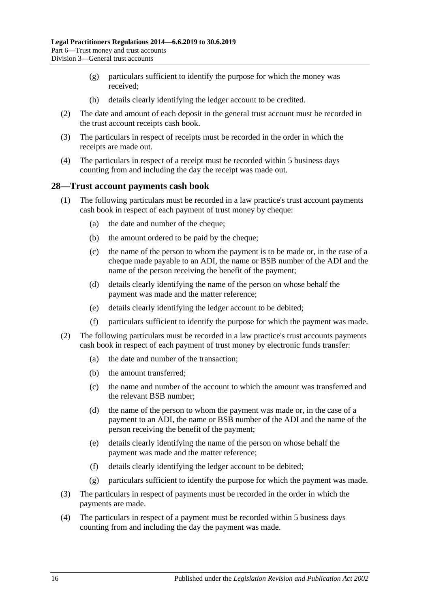- (g) particulars sufficient to identify the purpose for which the money was received;
- (h) details clearly identifying the ledger account to be credited.
- (2) The date and amount of each deposit in the general trust account must be recorded in the trust account receipts cash book.
- (3) The particulars in respect of receipts must be recorded in the order in which the receipts are made out.
- (4) The particulars in respect of a receipt must be recorded within 5 business days counting from and including the day the receipt was made out.

#### <span id="page-15-0"></span>**28—Trust account payments cash book**

- (1) The following particulars must be recorded in a law practice's trust account payments cash book in respect of each payment of trust money by cheque:
	- (a) the date and number of the cheque;
	- (b) the amount ordered to be paid by the cheque;
	- (c) the name of the person to whom the payment is to be made or, in the case of a cheque made payable to an ADI, the name or BSB number of the ADI and the name of the person receiving the benefit of the payment;
	- (d) details clearly identifying the name of the person on whose behalf the payment was made and the matter reference;
	- (e) details clearly identifying the ledger account to be debited;
	- (f) particulars sufficient to identify the purpose for which the payment was made.
- (2) The following particulars must be recorded in a law practice's trust accounts payments cash book in respect of each payment of trust money by electronic funds transfer:
	- (a) the date and number of the transaction;
	- (b) the amount transferred;
	- (c) the name and number of the account to which the amount was transferred and the relevant BSB number;
	- (d) the name of the person to whom the payment was made or, in the case of a payment to an ADI, the name or BSB number of the ADI and the name of the person receiving the benefit of the payment;
	- (e) details clearly identifying the name of the person on whose behalf the payment was made and the matter reference;
	- (f) details clearly identifying the ledger account to be debited;
	- (g) particulars sufficient to identify the purpose for which the payment was made.
- (3) The particulars in respect of payments must be recorded in the order in which the payments are made.
- (4) The particulars in respect of a payment must be recorded within 5 business days counting from and including the day the payment was made.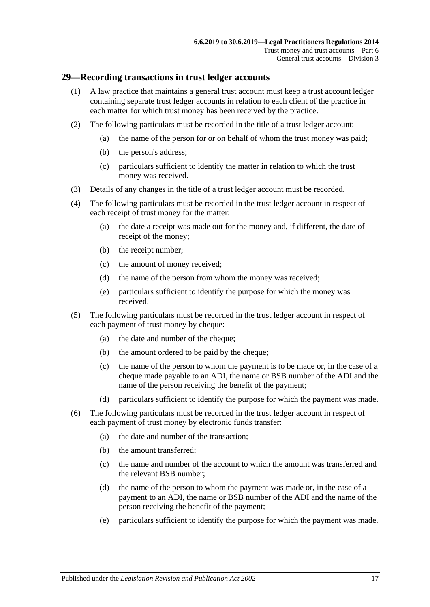#### <span id="page-16-0"></span>**29—Recording transactions in trust ledger accounts**

- (1) A law practice that maintains a general trust account must keep a trust account ledger containing separate trust ledger accounts in relation to each client of the practice in each matter for which trust money has been received by the practice.
- (2) The following particulars must be recorded in the title of a trust ledger account:
	- (a) the name of the person for or on behalf of whom the trust money was paid;
	- (b) the person's address;
	- (c) particulars sufficient to identify the matter in relation to which the trust money was received.
- (3) Details of any changes in the title of a trust ledger account must be recorded.
- (4) The following particulars must be recorded in the trust ledger account in respect of each receipt of trust money for the matter:
	- (a) the date a receipt was made out for the money and, if different, the date of receipt of the money;
	- (b) the receipt number;
	- (c) the amount of money received;
	- (d) the name of the person from whom the money was received;
	- (e) particulars sufficient to identify the purpose for which the money was received.
- (5) The following particulars must be recorded in the trust ledger account in respect of each payment of trust money by cheque:
	- (a) the date and number of the cheque;
	- (b) the amount ordered to be paid by the cheque;
	- (c) the name of the person to whom the payment is to be made or, in the case of a cheque made payable to an ADI, the name or BSB number of the ADI and the name of the person receiving the benefit of the payment;
	- (d) particulars sufficient to identify the purpose for which the payment was made.
- (6) The following particulars must be recorded in the trust ledger account in respect of each payment of trust money by electronic funds transfer:
	- (a) the date and number of the transaction;
	- (b) the amount transferred;
	- (c) the name and number of the account to which the amount was transferred and the relevant BSB number;
	- (d) the name of the person to whom the payment was made or, in the case of a payment to an ADI, the name or BSB number of the ADI and the name of the person receiving the benefit of the payment;
	- (e) particulars sufficient to identify the purpose for which the payment was made.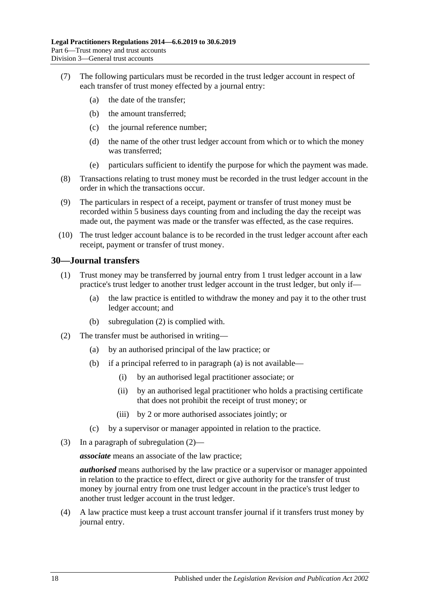- (7) The following particulars must be recorded in the trust ledger account in respect of each transfer of trust money effected by a journal entry:
	- (a) the date of the transfer;
	- (b) the amount transferred;
	- (c) the journal reference number;
	- (d) the name of the other trust ledger account from which or to which the money was transferred;
	- (e) particulars sufficient to identify the purpose for which the payment was made.
- (8) Transactions relating to trust money must be recorded in the trust ledger account in the order in which the transactions occur.
- (9) The particulars in respect of a receipt, payment or transfer of trust money must be recorded within 5 business days counting from and including the day the receipt was made out, the payment was made or the transfer was effected, as the case requires.
- (10) The trust ledger account balance is to be recorded in the trust ledger account after each receipt, payment or transfer of trust money.

#### <span id="page-17-0"></span>**30—Journal transfers**

- (1) Trust money may be transferred by journal entry from 1 trust ledger account in a law practice's trust ledger to another trust ledger account in the trust ledger, but only if—
	- (a) the law practice is entitled to withdraw the money and pay it to the other trust ledger account; and
	- (b) [subregulation](#page-17-1) (2) is complied with.
- <span id="page-17-2"></span><span id="page-17-1"></span>(2) The transfer must be authorised in writing—
	- (a) by an authorised principal of the law practice; or
	- (b) if a principal referred to in [paragraph](#page-17-2) (a) is not available—
		- (i) by an authorised legal practitioner associate; or
		- (ii) by an authorised legal practitioner who holds a practising certificate that does not prohibit the receipt of trust money; or
		- (iii) by 2 or more authorised associates jointly; or
	- (c) by a supervisor or manager appointed in relation to the practice.
- (3) In a paragraph of [subregulation](#page-17-1) (2)—

*associate* means an associate of the law practice;

*authorised* means authorised by the law practice or a supervisor or manager appointed in relation to the practice to effect, direct or give authority for the transfer of trust money by journal entry from one trust ledger account in the practice's trust ledger to another trust ledger account in the trust ledger.

(4) A law practice must keep a trust account transfer journal if it transfers trust money by journal entry.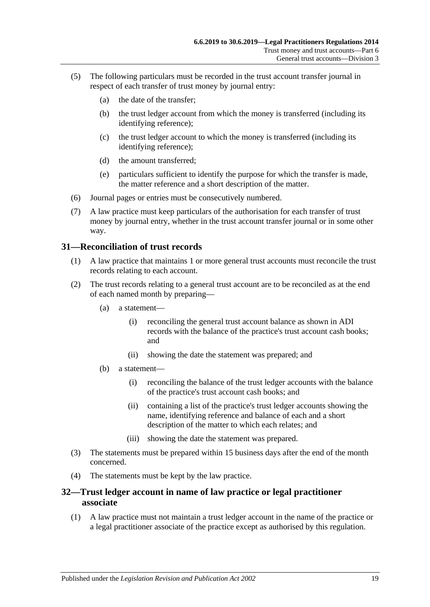- (5) The following particulars must be recorded in the trust account transfer journal in respect of each transfer of trust money by journal entry:
	- (a) the date of the transfer;
	- (b) the trust ledger account from which the money is transferred (including its identifying reference);
	- (c) the trust ledger account to which the money is transferred (including its identifying reference);
	- (d) the amount transferred;
	- (e) particulars sufficient to identify the purpose for which the transfer is made, the matter reference and a short description of the matter.
- (6) Journal pages or entries must be consecutively numbered.
- (7) A law practice must keep particulars of the authorisation for each transfer of trust money by journal entry, whether in the trust account transfer journal or in some other way.

#### <span id="page-18-0"></span>**31—Reconciliation of trust records**

- (1) A law practice that maintains 1 or more general trust accounts must reconcile the trust records relating to each account.
- (2) The trust records relating to a general trust account are to be reconciled as at the end of each named month by preparing—
	- (a) a statement—
		- (i) reconciling the general trust account balance as shown in ADI records with the balance of the practice's trust account cash books; and
		- (ii) showing the date the statement was prepared; and
	- (b) a statement—
		- (i) reconciling the balance of the trust ledger accounts with the balance of the practice's trust account cash books; and
		- (ii) containing a list of the practice's trust ledger accounts showing the name, identifying reference and balance of each and a short description of the matter to which each relates; and
		- (iii) showing the date the statement was prepared.
- (3) The statements must be prepared within 15 business days after the end of the month concerned.
- (4) The statements must be kept by the law practice.

#### <span id="page-18-1"></span>**32—Trust ledger account in name of law practice or legal practitioner associate**

(1) A law practice must not maintain a trust ledger account in the name of the practice or a legal practitioner associate of the practice except as authorised by this regulation.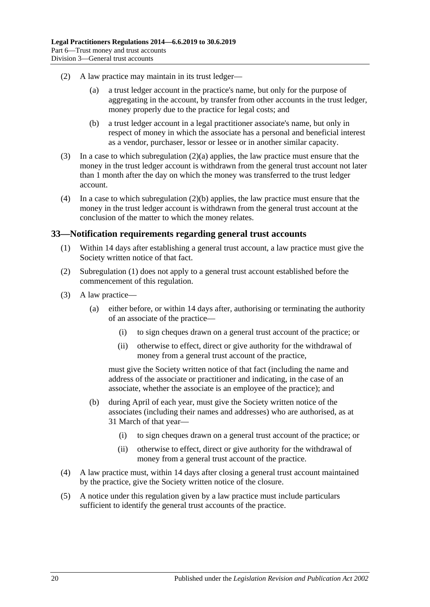- <span id="page-19-1"></span>(2) A law practice may maintain in its trust ledger—
	- (a) a trust ledger account in the practice's name, but only for the purpose of aggregating in the account, by transfer from other accounts in the trust ledger, money properly due to the practice for legal costs; and
	- (b) a trust ledger account in a legal practitioner associate's name, but only in respect of money in which the associate has a personal and beneficial interest as a vendor, purchaser, lessor or lessee or in another similar capacity.
- <span id="page-19-2"></span>(3) In a case to which [subregulation](#page-19-1) (2)(a) applies, the law practice must ensure that the money in the trust ledger account is withdrawn from the general trust account not later than 1 month after the day on which the money was transferred to the trust ledger account.
- (4) In a case to which [subregulation](#page-19-2) (2)(b) applies, the law practice must ensure that the money in the trust ledger account is withdrawn from the general trust account at the conclusion of the matter to which the money relates.

#### <span id="page-19-3"></span><span id="page-19-0"></span>**33—Notification requirements regarding general trust accounts**

- (1) Within 14 days after establishing a general trust account, a law practice must give the Society written notice of that fact.
- (2) [Subregulation](#page-19-3) (1) does not apply to a general trust account established before the commencement of this regulation.
- (3) A law practice—
	- (a) either before, or within 14 days after, authorising or terminating the authority of an associate of the practice—
		- (i) to sign cheques drawn on a general trust account of the practice; or
		- (ii) otherwise to effect, direct or give authority for the withdrawal of money from a general trust account of the practice,

must give the Society written notice of that fact (including the name and address of the associate or practitioner and indicating, in the case of an associate, whether the associate is an employee of the practice); and

- (b) during April of each year, must give the Society written notice of the associates (including their names and addresses) who are authorised, as at 31 March of that year—
	- (i) to sign cheques drawn on a general trust account of the practice; or
	- (ii) otherwise to effect, direct or give authority for the withdrawal of money from a general trust account of the practice.
- (4) A law practice must, within 14 days after closing a general trust account maintained by the practice, give the Society written notice of the closure.
- (5) A notice under this regulation given by a law practice must include particulars sufficient to identify the general trust accounts of the practice.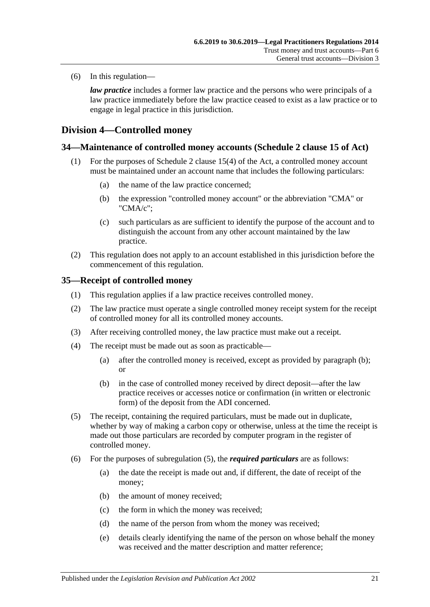(6) In this regulation—

*law practice* includes a former law practice and the persons who were principals of a law practice immediately before the law practice ceased to exist as a law practice or to engage in legal practice in this jurisdiction.

## <span id="page-20-0"></span>**Division 4—Controlled money**

#### <span id="page-20-1"></span>**34—Maintenance of controlled money accounts (Schedule 2 clause 15 of Act)**

- (1) For the purposes of Schedule 2 clause 15(4) of the Act, a controlled money account must be maintained under an account name that includes the following particulars:
	- (a) the name of the law practice concerned;
	- (b) the expression "controlled money account" or the abbreviation "CMA" or "CMA/c";
	- (c) such particulars as are sufficient to identify the purpose of the account and to distinguish the account from any other account maintained by the law practice.
- (2) This regulation does not apply to an account established in this jurisdiction before the commencement of this regulation.

#### <span id="page-20-2"></span>**35—Receipt of controlled money**

- (1) This regulation applies if a law practice receives controlled money.
- (2) The law practice must operate a single controlled money receipt system for the receipt of controlled money for all its controlled money accounts.
- (3) After receiving controlled money, the law practice must make out a receipt.
- <span id="page-20-3"></span>(4) The receipt must be made out as soon as practicable—
	- (a) after the controlled money is received, except as provided by [paragraph](#page-20-3) (b); or
	- (b) in the case of controlled money received by direct deposit—after the law practice receives or accesses notice or confirmation (in written or electronic form) of the deposit from the ADI concerned.
- <span id="page-20-4"></span>(5) The receipt, containing the required particulars, must be made out in duplicate, whether by way of making a carbon copy or otherwise, unless at the time the receipt is made out those particulars are recorded by computer program in the register of controlled money.
- (6) For the purposes of [subregulation](#page-20-4) (5), the *required particulars* are as follows:
	- (a) the date the receipt is made out and, if different, the date of receipt of the money;
	- (b) the amount of money received;
	- (c) the form in which the money was received;
	- (d) the name of the person from whom the money was received;
	- (e) details clearly identifying the name of the person on whose behalf the money was received and the matter description and matter reference;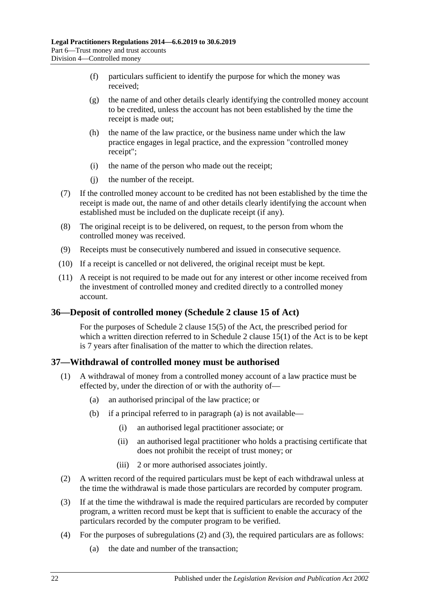- (f) particulars sufficient to identify the purpose for which the money was received;
- (g) the name of and other details clearly identifying the controlled money account to be credited, unless the account has not been established by the time the receipt is made out;
- (h) the name of the law practice, or the business name under which the law practice engages in legal practice, and the expression "controlled money receipt";
- (i) the name of the person who made out the receipt;
- (j) the number of the receipt.
- (7) If the controlled money account to be credited has not been established by the time the receipt is made out, the name of and other details clearly identifying the account when established must be included on the duplicate receipt (if any).
- (8) The original receipt is to be delivered, on request, to the person from whom the controlled money was received.
- (9) Receipts must be consecutively numbered and issued in consecutive sequence.
- (10) If a receipt is cancelled or not delivered, the original receipt must be kept.
- (11) A receipt is not required to be made out for any interest or other income received from the investment of controlled money and credited directly to a controlled money account.

#### <span id="page-21-0"></span>**36—Deposit of controlled money (Schedule 2 clause 15 of Act)**

For the purposes of Schedule 2 clause 15(5) of the Act, the prescribed period for which a written direction referred to in Schedule 2 clause  $15(1)$  of the Act is to be kept is 7 years after finalisation of the matter to which the direction relates.

#### <span id="page-21-1"></span>**37—Withdrawal of controlled money must be authorised**

- <span id="page-21-2"></span>(1) A withdrawal of money from a controlled money account of a law practice must be effected by, under the direction of or with the authority of—
	- (a) an authorised principal of the law practice; or
	- (b) if a principal referred to in [paragraph](#page-21-2) (a) is not available—
		- (i) an authorised legal practitioner associate; or
		- (ii) an authorised legal practitioner who holds a practising certificate that does not prohibit the receipt of trust money; or
		- (iii) 2 or more authorised associates jointly.
- <span id="page-21-3"></span>(2) A written record of the required particulars must be kept of each withdrawal unless at the time the withdrawal is made those particulars are recorded by computer program.
- <span id="page-21-4"></span>(3) If at the time the withdrawal is made the required particulars are recorded by computer program, a written record must be kept that is sufficient to enable the accuracy of the particulars recorded by the computer program to be verified.
- <span id="page-21-5"></span>(4) For the purposes of [subregulations](#page-21-3) (2) and [\(3\),](#page-21-4) the required particulars are as follows:
	- (a) the date and number of the transaction;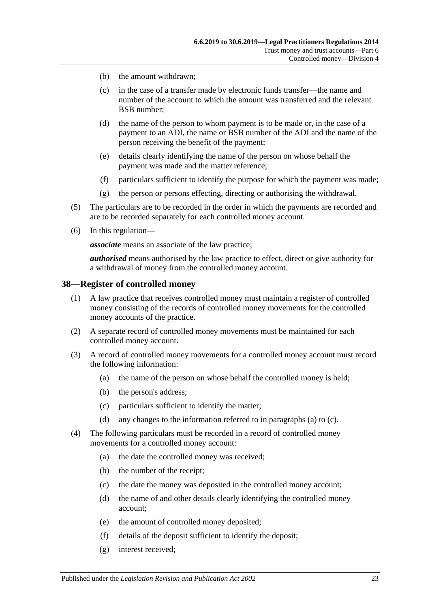- (b) the amount withdrawn:
- (c) in the case of a transfer made by electronic funds transfer—the name and number of the account to which the amount was transferred and the relevant BSB number;
- (d) the name of the person to whom payment is to be made or, in the case of a payment to an ADI, the name or BSB number of the ADI and the name of the person receiving the benefit of the payment;
- (e) details clearly identifying the name of the person on whose behalf the payment was made and the matter reference;
- (f) particulars sufficient to identify the purpose for which the payment was made;
- (g) the person or persons effecting, directing or authorising the withdrawal.
- (5) The particulars are to be recorded in the order in which the payments are recorded and are to be recorded separately for each controlled money account.
- (6) In this regulation—

*associate* means an associate of the law practice;

*authorised* means authorised by the law practice to effect, direct or give authority for a withdrawal of money from the controlled money account.

#### <span id="page-22-0"></span>**38—Register of controlled money**

- (1) A law practice that receives controlled money must maintain a register of controlled money consisting of the records of controlled money movements for the controlled money accounts of the practice.
- (2) A separate record of controlled money movements must be maintained for each controlled money account.
- <span id="page-22-1"></span>(3) A record of controlled money movements for a controlled money account must record the following information:
	- (a) the name of the person on whose behalf the controlled money is held;
	- (b) the person's address;
	- (c) particulars sufficient to identify the matter;
	- (d) any changes to the information referred to in [paragraphs](#page-22-1) (a) to [\(c\).](#page-22-2)
- <span id="page-22-2"></span>(4) The following particulars must be recorded in a record of controlled money movements for a controlled money account:
	- (a) the date the controlled money was received;
	- (b) the number of the receipt;
	- (c) the date the money was deposited in the controlled money account;
	- (d) the name of and other details clearly identifying the controlled money account;
	- (e) the amount of controlled money deposited;
	- (f) details of the deposit sufficient to identify the deposit;
	- (g) interest received;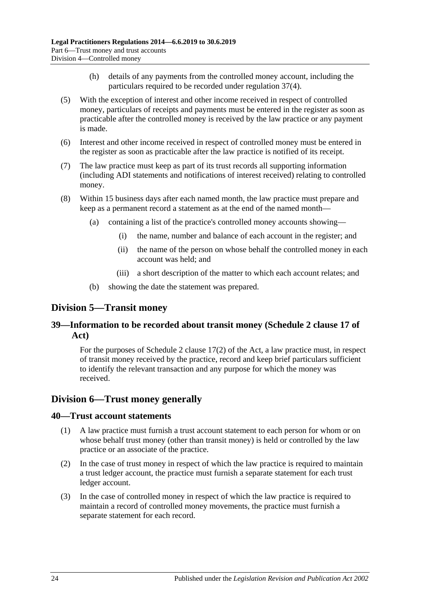- (h) details of any payments from the controlled money account, including the particulars required to be recorded under [regulation](#page-21-5) 37(4).
- (5) With the exception of interest and other income received in respect of controlled money, particulars of receipts and payments must be entered in the register as soon as practicable after the controlled money is received by the law practice or any payment is made.
- (6) Interest and other income received in respect of controlled money must be entered in the register as soon as practicable after the law practice is notified of its receipt.
- (7) The law practice must keep as part of its trust records all supporting information (including ADI statements and notifications of interest received) relating to controlled money.
- (8) Within 15 business days after each named month, the law practice must prepare and keep as a permanent record a statement as at the end of the named month—
	- (a) containing a list of the practice's controlled money accounts showing—
		- (i) the name, number and balance of each account in the register; and
		- (ii) the name of the person on whose behalf the controlled money in each account was held; and
		- (iii) a short description of the matter to which each account relates; and
	- (b) showing the date the statement was prepared.

## <span id="page-23-0"></span>**Division 5—Transit money**

### <span id="page-23-1"></span>**39—Information to be recorded about transit money (Schedule 2 clause 17 of Act)**

For the purposes of Schedule 2 clause 17(2) of the Act, a law practice must, in respect of transit money received by the practice, record and keep brief particulars sufficient to identify the relevant transaction and any purpose for which the money was received.

## <span id="page-23-2"></span>**Division 6—Trust money generally**

#### <span id="page-23-3"></span>**40—Trust account statements**

- (1) A law practice must furnish a trust account statement to each person for whom or on whose behalf trust money (other than transit money) is held or controlled by the law practice or an associate of the practice.
- (2) In the case of trust money in respect of which the law practice is required to maintain a trust ledger account, the practice must furnish a separate statement for each trust ledger account.
- (3) In the case of controlled money in respect of which the law practice is required to maintain a record of controlled money movements, the practice must furnish a separate statement for each record.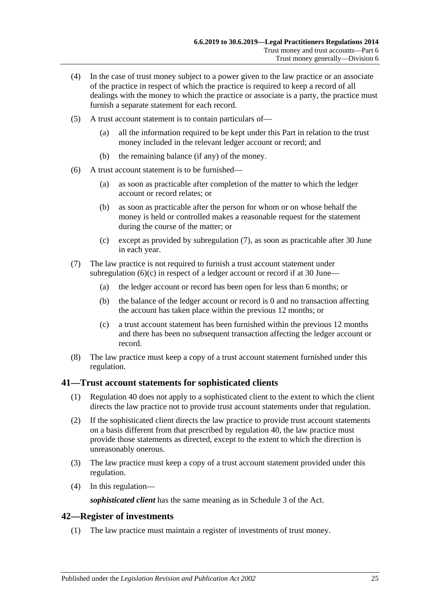- (4) In the case of trust money subject to a power given to the law practice or an associate of the practice in respect of which the practice is required to keep a record of all dealings with the money to which the practice or associate is a party, the practice must furnish a separate statement for each record.
- (5) A trust account statement is to contain particulars of—
	- (a) all the information required to be kept under this Part in relation to the trust money included in the relevant ledger account or record; and
	- (b) the remaining balance (if any) of the money.
- (6) A trust account statement is to be furnished—
	- (a) as soon as practicable after completion of the matter to which the ledger account or record relates; or
	- (b) as soon as practicable after the person for whom or on whose behalf the money is held or controlled makes a reasonable request for the statement during the course of the matter; or
	- (c) except as provided by [subregulation](#page-24-2) (7), as soon as practicable after 30 June in each year.
- <span id="page-24-3"></span><span id="page-24-2"></span>(7) The law practice is not required to furnish a trust account statement under [subregulation](#page-24-3)  $(6)(c)$  in respect of a ledger account or record if at 30 June—
	- (a) the ledger account or record has been open for less than 6 months; or
	- (b) the balance of the ledger account or record is 0 and no transaction affecting the account has taken place within the previous 12 months; or
	- (c) a trust account statement has been furnished within the previous 12 months and there has been no subsequent transaction affecting the ledger account or record.
- (8) The law practice must keep a copy of a trust account statement furnished under this regulation.

#### <span id="page-24-0"></span>**41—Trust account statements for sophisticated clients**

- (1) [Regulation](#page-23-3) 40 does not apply to a sophisticated client to the extent to which the client directs the law practice not to provide trust account statements under that regulation.
- (2) If the sophisticated client directs the law practice to provide trust account statements on a basis different from that prescribed by [regulation](#page-23-3) 40, the law practice must provide those statements as directed, except to the extent to which the direction is unreasonably onerous.
- (3) The law practice must keep a copy of a trust account statement provided under this regulation.
- (4) In this regulation—

*sophisticated client* has the same meaning as in Schedule 3 of the Act.

#### <span id="page-24-1"></span>**42—Register of investments**

(1) The law practice must maintain a register of investments of trust money.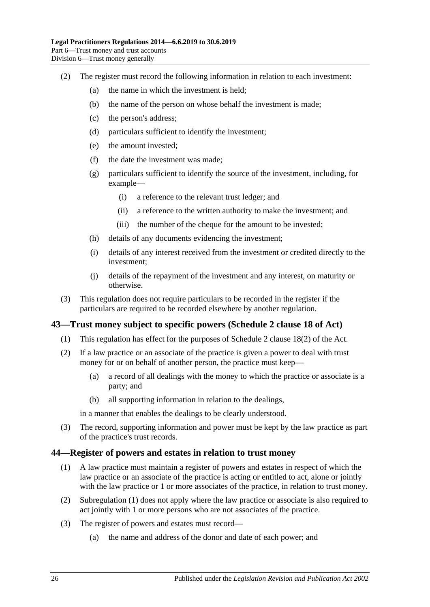- (2) The register must record the following information in relation to each investment:
	- (a) the name in which the investment is held;
	- (b) the name of the person on whose behalf the investment is made;
	- (c) the person's address;
	- (d) particulars sufficient to identify the investment;
	- (e) the amount invested;
	- (f) the date the investment was made;
	- (g) particulars sufficient to identify the source of the investment, including, for example—
		- (i) a reference to the relevant trust ledger; and
		- (ii) a reference to the written authority to make the investment; and
		- (iii) the number of the cheque for the amount to be invested;
	- (h) details of any documents evidencing the investment;
	- (i) details of any interest received from the investment or credited directly to the investment;
	- (j) details of the repayment of the investment and any interest, on maturity or otherwise.
- (3) This regulation does not require particulars to be recorded in the register if the particulars are required to be recorded elsewhere by another regulation.

#### <span id="page-25-0"></span>**43—Trust money subject to specific powers (Schedule 2 clause 18 of Act)**

- (1) This regulation has effect for the purposes of Schedule 2 clause 18(2) of the Act.
- (2) If a law practice or an associate of the practice is given a power to deal with trust money for or on behalf of another person, the practice must keep—
	- (a) a record of all dealings with the money to which the practice or associate is a party; and
	- (b) all supporting information in relation to the dealings,

in a manner that enables the dealings to be clearly understood.

(3) The record, supporting information and power must be kept by the law practice as part of the practice's trust records.

#### <span id="page-25-2"></span><span id="page-25-1"></span>**44—Register of powers and estates in relation to trust money**

- (1) A law practice must maintain a register of powers and estates in respect of which the law practice or an associate of the practice is acting or entitled to act, alone or jointly with the law practice or 1 or more associates of the practice, in relation to trust money.
- (2) [Subregulation](#page-25-2) (1) does not apply where the law practice or associate is also required to act jointly with 1 or more persons who are not associates of the practice.
- (3) The register of powers and estates must record—
	- (a) the name and address of the donor and date of each power; and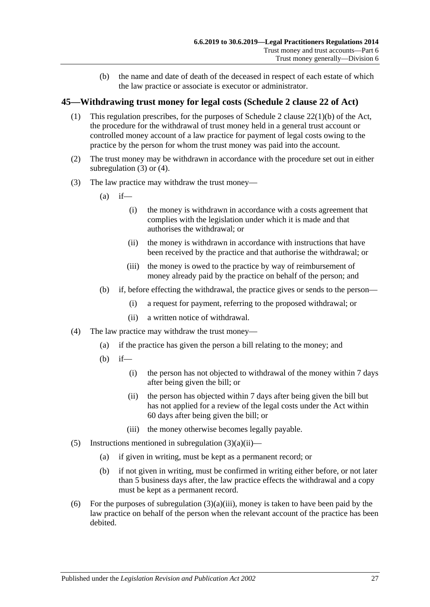(b) the name and date of death of the deceased in respect of each estate of which the law practice or associate is executor or administrator.

#### <span id="page-26-0"></span>**45—Withdrawing trust money for legal costs (Schedule 2 clause 22 of Act)**

- (1) This regulation prescribes, for the purposes of Schedule 2 clause 22(1)(b) of the Act, the procedure for the withdrawal of trust money held in a general trust account or controlled money account of a law practice for payment of legal costs owing to the practice by the person for whom the trust money was paid into the account.
- (2) The trust money may be withdrawn in accordance with the procedure set out in either [subregulation](#page-26-1) (3) or [\(4\).](#page-26-2)
- <span id="page-26-3"></span><span id="page-26-1"></span>(3) The law practice may withdraw the trust money—
	- $(a)$  if—
		- (i) the money is withdrawn in accordance with a costs agreement that complies with the legislation under which it is made and that authorises the withdrawal; or
		- (ii) the money is withdrawn in accordance with instructions that have been received by the practice and that authorise the withdrawal; or
		- (iii) the money is owed to the practice by way of reimbursement of money already paid by the practice on behalf of the person; and
	- (b) if, before effecting the withdrawal, the practice gives or sends to the person—
		- (i) a request for payment, referring to the proposed withdrawal; or
		- (ii) a written notice of withdrawal.
- <span id="page-26-4"></span><span id="page-26-2"></span>(4) The law practice may withdraw the trust money—
	- (a) if the practice has given the person a bill relating to the money; and
	- (b) if—
		- (i) the person has not objected to withdrawal of the money within 7 days after being given the bill; or
		- (ii) the person has objected within 7 days after being given the bill but has not applied for a review of the legal costs under the Act within 60 days after being given the bill; or
		- (iii) the money otherwise becomes legally payable.
- (5) Instructions mentioned in [subregulation](#page-26-3)  $(3)(a)(ii)$ 
	- (a) if given in writing, must be kept as a permanent record; or
	- (b) if not given in writing, must be confirmed in writing either before, or not later than 5 business days after, the law practice effects the withdrawal and a copy must be kept as a permanent record.
- (6) For the purposes of [subregulation](#page-26-4)  $(3)(a)(iii)$ , money is taken to have been paid by the law practice on behalf of the person when the relevant account of the practice has been debited.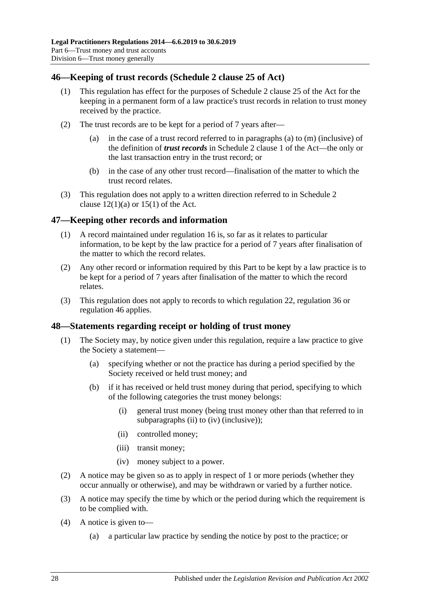### <span id="page-27-0"></span>**46—Keeping of trust records (Schedule 2 clause 25 of Act)**

- (1) This regulation has effect for the purposes of Schedule 2 clause 25 of the Act for the keeping in a permanent form of a law practice's trust records in relation to trust money received by the practice.
- (2) The trust records are to be kept for a period of 7 years after
	- in the case of a trust record referred to in paragraphs (a) to  $(m)$  (inclusive) of the definition of *trust records* in Schedule 2 clause 1 of the Act—the only or the last transaction entry in the trust record; or
	- (b) in the case of any other trust record—finalisation of the matter to which the trust record relates.
- (3) This regulation does not apply to a written direction referred to in Schedule 2 clause  $12(1)(a)$  or  $15(1)$  of the Act.

### <span id="page-27-1"></span>**47—Keeping other records and information**

- (1) A record maintained under [regulation](#page-8-1) 16 is, so far as it relates to particular information, to be kept by the law practice for a period of 7 years after finalisation of the matter to which the record relates.
- (2) Any other record or information required by this Part to be kept by a law practice is to be kept for a period of 7 years after finalisation of the matter to which the record relates.
- (3) This regulation does not apply to records to which [regulation](#page-11-1) 22, [regulation](#page-21-0) 36 or [regulation](#page-27-0) 46 applies.

#### <span id="page-27-2"></span>**48—Statements regarding receipt or holding of trust money**

- (1) The Society may, by notice given under this regulation, require a law practice to give the Society a statement—
	- (a) specifying whether or not the practice has during a period specified by the Society received or held trust money; and
	- (b) if it has received or held trust money during that period, specifying to which of the following categories the trust money belongs:
		- (i) general trust money (being trust money other than that referred to in [subparagraphs](#page-27-3) (ii) to [\(iv\)](#page-27-4) (inclusive));
		- (ii) controlled money;
		- (iii) transit money;
		- (iv) money subject to a power.
- <span id="page-27-4"></span><span id="page-27-3"></span>(2) A notice may be given so as to apply in respect of 1 or more periods (whether they occur annually or otherwise), and may be withdrawn or varied by a further notice.
- (3) A notice may specify the time by which or the period during which the requirement is to be complied with.
- (4) A notice is given to—
	- (a) a particular law practice by sending the notice by post to the practice; or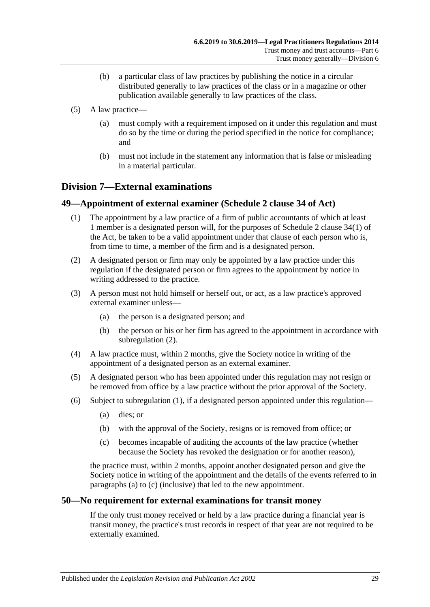- (b) a particular class of law practices by publishing the notice in a circular distributed generally to law practices of the class or in a magazine or other publication available generally to law practices of the class.
- (5) A law practice—
	- (a) must comply with a requirement imposed on it under this regulation and must do so by the time or during the period specified in the notice for compliance; and
	- (b) must not include in the statement any information that is false or misleading in a material particular.

## <span id="page-28-0"></span>**Division 7—External examinations**

#### <span id="page-28-4"></span><span id="page-28-1"></span>**49—Appointment of external examiner (Schedule 2 clause 34 of Act)**

- (1) The appointment by a law practice of a firm of public accountants of which at least 1 member is a designated person will, for the purposes of Schedule 2 clause 34(1) of the Act, be taken to be a valid appointment under that clause of each person who is, from time to time, a member of the firm and is a designated person.
- <span id="page-28-3"></span>(2) A designated person or firm may only be appointed by a law practice under this regulation if the designated person or firm agrees to the appointment by notice in writing addressed to the practice.
- (3) A person must not hold himself or herself out, or act, as a law practice's approved external examiner unless—
	- (a) the person is a designated person; and
	- (b) the person or his or her firm has agreed to the appointment in accordance with [subregulation](#page-28-3) (2).
- (4) A law practice must, within 2 months, give the Society notice in writing of the appointment of a designated person as an external examiner.
- (5) A designated person who has been appointed under this regulation may not resign or be removed from office by a law practice without the prior approval of the Society.
- <span id="page-28-6"></span><span id="page-28-5"></span>(6) Subject to [subregulation](#page-28-4) (1), if a designated person appointed under this regulation—
	- (a) dies; or
	- (b) with the approval of the Society, resigns or is removed from office; or
	- (c) becomes incapable of auditing the accounts of the law practice (whether because the Society has revoked the designation or for another reason),

the practice must, within 2 months, appoint another designated person and give the Society notice in writing of the appointment and the details of the events referred to in [paragraphs](#page-28-5) (a) to [\(c\)](#page-28-6) (inclusive) that led to the new appointment.

#### <span id="page-28-2"></span>**50—No requirement for external examinations for transit money**

If the only trust money received or held by a law practice during a financial year is transit money, the practice's trust records in respect of that year are not required to be externally examined.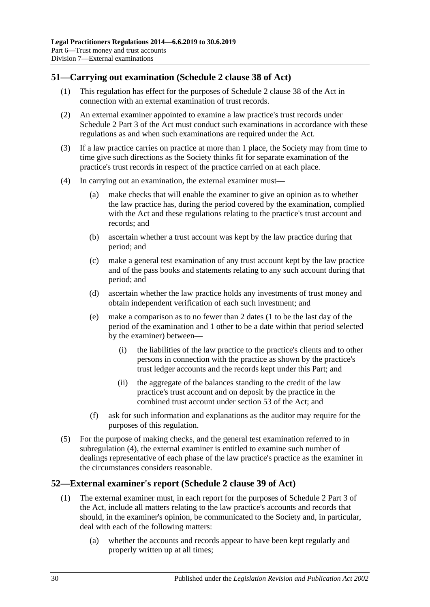## <span id="page-29-0"></span>**51—Carrying out examination (Schedule 2 clause 38 of Act)**

- (1) This regulation has effect for the purposes of Schedule 2 clause 38 of the Act in connection with an external examination of trust records.
- (2) An external examiner appointed to examine a law practice's trust records under Schedule 2 Part 3 of the Act must conduct such examinations in accordance with these regulations as and when such examinations are required under the Act.
- (3) If a law practice carries on practice at more than 1 place, the Society may from time to time give such directions as the Society thinks fit for separate examination of the practice's trust records in respect of the practice carried on at each place.
- <span id="page-29-3"></span><span id="page-29-2"></span>(4) In carrying out an examination, the external examiner must—
	- (a) make checks that will enable the examiner to give an opinion as to whether the law practice has, during the period covered by the examination, complied with the Act and these regulations relating to the practice's trust account and records; and
	- (b) ascertain whether a trust account was kept by the law practice during that period; and
	- (c) make a general test examination of any trust account kept by the law practice and of the pass books and statements relating to any such account during that period; and
	- (d) ascertain whether the law practice holds any investments of trust money and obtain independent verification of each such investment; and
	- (e) make a comparison as to no fewer than 2 dates (1 to be the last day of the period of the examination and 1 other to be a date within that period selected by the examiner) between—
		- (i) the liabilities of the law practice to the practice's clients and to other persons in connection with the practice as shown by the practice's trust ledger accounts and the records kept under this Part; and
		- (ii) the aggregate of the balances standing to the credit of the law practice's trust account and on deposit by the practice in the combined trust account under section 53 of the Act; and
	- (f) ask for such information and explanations as the auditor may require for the purposes of this regulation.
- (5) For the purpose of making checks, and the general test examination referred to in [subregulation](#page-29-2) (4), the external examiner is entitled to examine such number of dealings representative of each phase of the law practice's practice as the examiner in the circumstances considers reasonable.

#### <span id="page-29-1"></span>**52—External examiner's report (Schedule 2 clause 39 of Act)**

- (1) The external examiner must, in each report for the purposes of Schedule 2 Part 3 of the Act, include all matters relating to the law practice's accounts and records that should, in the examiner's opinion, be communicated to the Society and, in particular, deal with each of the following matters:
	- (a) whether the accounts and records appear to have been kept regularly and properly written up at all times;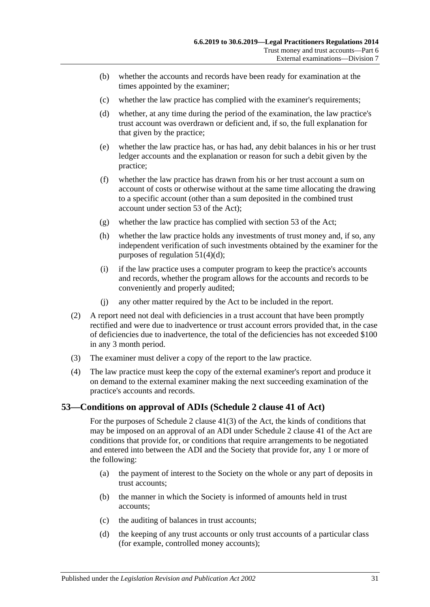- (b) whether the accounts and records have been ready for examination at the times appointed by the examiner;
- (c) whether the law practice has complied with the examiner's requirements;
- (d) whether, at any time during the period of the examination, the law practice's trust account was overdrawn or deficient and, if so, the full explanation for that given by the practice;
- (e) whether the law practice has, or has had, any debit balances in his or her trust ledger accounts and the explanation or reason for such a debit given by the practice;
- (f) whether the law practice has drawn from his or her trust account a sum on account of costs or otherwise without at the same time allocating the drawing to a specific account (other than a sum deposited in the combined trust account under section 53 of the Act);
- (g) whether the law practice has complied with section 53 of the Act;
- (h) whether the law practice holds any investments of trust money and, if so, any independent verification of such investments obtained by the examiner for the purposes of [regulation](#page-29-3) 51(4)(d);
- (i) if the law practice uses a computer program to keep the practice's accounts and records, whether the program allows for the accounts and records to be conveniently and properly audited;
- (j) any other matter required by the Act to be included in the report.
- (2) A report need not deal with deficiencies in a trust account that have been promptly rectified and were due to inadvertence or trust account errors provided that, in the case of deficiencies due to inadvertence, the total of the deficiencies has not exceeded \$100 in any 3 month period.
- (3) The examiner must deliver a copy of the report to the law practice.
- (4) The law practice must keep the copy of the external examiner's report and produce it on demand to the external examiner making the next succeeding examination of the practice's accounts and records.

#### <span id="page-30-0"></span>**53—Conditions on approval of ADIs (Schedule 2 clause 41 of Act)**

For the purposes of Schedule 2 clause 41(3) of the Act, the kinds of conditions that may be imposed on an approval of an ADI under Schedule 2 clause 41 of the Act are conditions that provide for, or conditions that require arrangements to be negotiated and entered into between the ADI and the Society that provide for, any 1 or more of the following:

- <span id="page-30-1"></span>(a) the payment of interest to the Society on the whole or any part of deposits in trust accounts;
- (b) the manner in which the Society is informed of amounts held in trust accounts;
- (c) the auditing of balances in trust accounts;
- <span id="page-30-2"></span>(d) the keeping of any trust accounts or only trust accounts of a particular class (for example, controlled money accounts);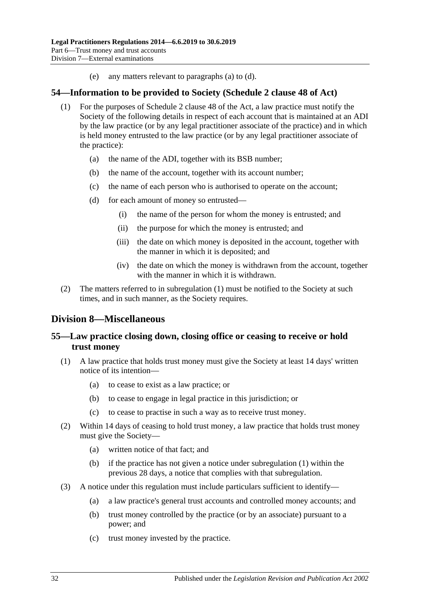(e) any matters relevant to [paragraphs](#page-30-1) (a) to [\(d\).](#page-30-2)

#### <span id="page-31-4"></span><span id="page-31-0"></span>**54—Information to be provided to Society (Schedule 2 clause 48 of Act)**

- (1) For the purposes of Schedule 2 clause 48 of the Act, a law practice must notify the Society of the following details in respect of each account that is maintained at an ADI by the law practice (or by any legal practitioner associate of the practice) and in which is held money entrusted to the law practice (or by any legal practitioner associate of the practice):
	- (a) the name of the ADI, together with its BSB number;
	- (b) the name of the account, together with its account number;
	- (c) the name of each person who is authorised to operate on the account;
	- (d) for each amount of money so entrusted—
		- (i) the name of the person for whom the money is entrusted; and
		- (ii) the purpose for which the money is entrusted; and
		- (iii) the date on which money is deposited in the account, together with the manner in which it is deposited; and
		- (iv) the date on which the money is withdrawn from the account, together with the manner in which it is withdrawn.
- (2) The matters referred to in [subregulation](#page-31-4) (1) must be notified to the Society at such times, and in such manner, as the Society requires.

## <span id="page-31-1"></span>**Division 8—Miscellaneous**

### <span id="page-31-2"></span>**55—Law practice closing down, closing office or ceasing to receive or hold trust money**

- <span id="page-31-3"></span>(1) A law practice that holds trust money must give the Society at least 14 days' written notice of its intention—
	- (a) to cease to exist as a law practice; or
	- (b) to cease to engage in legal practice in this jurisdiction; or
	- (c) to cease to practise in such a way as to receive trust money.
- (2) Within 14 days of ceasing to hold trust money, a law practice that holds trust money must give the Society—
	- (a) written notice of that fact; and
	- (b) if the practice has not given a notice under [subregulation](#page-31-3) (1) within the previous 28 days, a notice that complies with that subregulation.
- (3) A notice under this regulation must include particulars sufficient to identify—
	- (a) a law practice's general trust accounts and controlled money accounts; and
	- (b) trust money controlled by the practice (or by an associate) pursuant to a power; and
	- (c) trust money invested by the practice.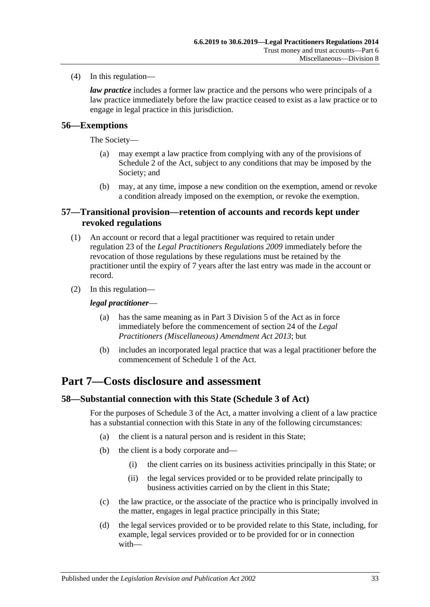(4) In this regulation—

*law practice* includes a former law practice and the persons who were principals of a law practice immediately before the law practice ceased to exist as a law practice or to engage in legal practice in this jurisdiction.

### <span id="page-32-0"></span>**56—Exemptions**

The Society—

- (a) may exempt a law practice from complying with any of the provisions of Schedule 2 of the Act, subject to any conditions that may be imposed by the Society; and
- (b) may, at any time, impose a new condition on the exemption, amend or revoke a condition already imposed on the exemption, or revoke the exemption.

#### <span id="page-32-1"></span>**57—Transitional provision—retention of accounts and records kept under revoked regulations**

- (1) An account or record that a legal practitioner was required to retain under regulation 23 of the *[Legal Practitioners Regulations](http://www.legislation.sa.gov.au/index.aspx?action=legref&type=subordleg&legtitle=Legal%20Practitioners%20Regulations%202009) 2009* immediately before the revocation of those regulations by these regulations must be retained by the practitioner until the expiry of 7 years after the last entry was made in the account or record.
- (2) In this regulation—

#### *legal practitioner*—

- (a) has the same meaning as in Part 3 Division 5 of the Act as in force immediately before the commencement of section 24 of the *[Legal](http://www.legislation.sa.gov.au/index.aspx?action=legref&type=act&legtitle=Legal%20Practitioners%20(Miscellaneous)%20Amendment%20Act%202013)  [Practitioners \(Miscellaneous\) Amendment Act](http://www.legislation.sa.gov.au/index.aspx?action=legref&type=act&legtitle=Legal%20Practitioners%20(Miscellaneous)%20Amendment%20Act%202013) 2013*; but
- (b) includes an incorporated legal practice that was a legal practitioner before the commencement of Schedule 1 of the Act.

## <span id="page-32-2"></span>**Part 7—Costs disclosure and assessment**

#### <span id="page-32-3"></span>**58—Substantial connection with this State (Schedule 3 of Act)**

For the purposes of Schedule 3 of the Act, a matter involving a client of a law practice has a substantial connection with this State in any of the following circumstances:

- (a) the client is a natural person and is resident in this State;
- (b) the client is a body corporate and—
	- (i) the client carries on its business activities principally in this State; or
	- (ii) the legal services provided or to be provided relate principally to business activities carried on by the client in this State;
- (c) the law practice, or the associate of the practice who is principally involved in the matter, engages in legal practice principally in this State;
- (d) the legal services provided or to be provided relate to this State, including, for example, legal services provided or to be provided for or in connection with—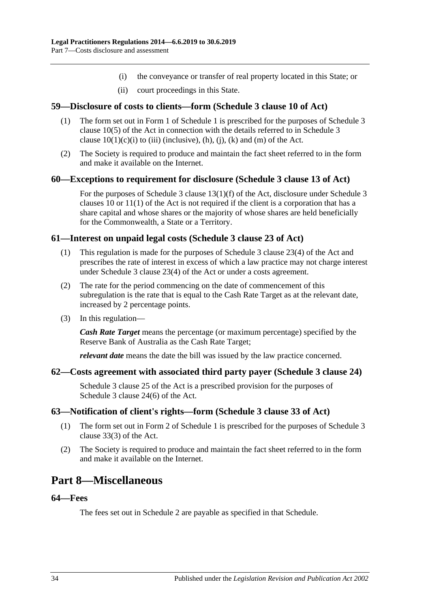- (i) the conveyance or transfer of real property located in this State; or
- (ii) court proceedings in this State.

#### <span id="page-33-0"></span>**59—Disclosure of costs to clients—form (Schedule 3 clause 10 of Act)**

- (1) The form set out in Form 1 of [Schedule](#page-35-4) 1 is prescribed for the purposes of Schedule 3 clause 10(5) of the Act in connection with the details referred to in Schedule 3 clause  $10(1)(c)(i)$  to (iii) (inclusive), (h), (j), (k) and (m) of the Act.
- (2) The Society is required to produce and maintain the fact sheet referred to in the form and make it available on the Internet.

#### <span id="page-33-1"></span>**60—Exceptions to requirement for disclosure (Schedule 3 clause 13 of Act)**

For the purposes of Schedule 3 clause 13(1)(f) of the Act, disclosure under Schedule 3 clauses 10 or 11(1) of the Act is not required if the client is a corporation that has a share capital and whose shares or the majority of whose shares are held beneficially for the Commonwealth, a State or a Territory.

#### <span id="page-33-2"></span>**61—Interest on unpaid legal costs (Schedule 3 clause 23 of Act)**

- (1) This regulation is made for the purposes of Schedule 3 clause 23(4) of the Act and prescribes the rate of interest in excess of which a law practice may not charge interest under Schedule 3 clause 23(4) of the Act or under a costs agreement.
- (2) The rate for the period commencing on the date of commencement of this subregulation is the rate that is equal to the Cash Rate Target as at the relevant date, increased by 2 percentage points.
- (3) In this regulation—

*Cash Rate Target* means the percentage (or maximum percentage) specified by the Reserve Bank of Australia as the Cash Rate Target;

*relevant date* means the date the bill was issued by the law practice concerned.

#### <span id="page-33-3"></span>**62—Costs agreement with associated third party payer (Schedule 3 clause 24)**

Schedule 3 clause 25 of the Act is a prescribed provision for the purposes of Schedule 3 clause 24(6) of the Act.

#### <span id="page-33-4"></span>**63—Notification of client's rights—form (Schedule 3 clause 33 of Act)**

- (1) The form set out in Form 2 of [Schedule](#page-35-4) 1 is prescribed for the purposes of Schedule 3 clause 33(3) of the Act.
- (2) The Society is required to produce and maintain the fact sheet referred to in the form and make it available on the Internet.

## <span id="page-33-5"></span>**Part 8—Miscellaneous**

#### <span id="page-33-6"></span>**64—Fees**

The fees set out in [Schedule](#page-36-0) 2 are payable as specified in that Schedule.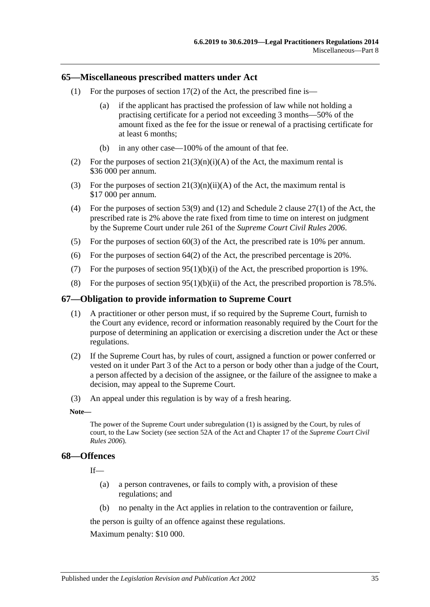#### <span id="page-34-0"></span>**65—Miscellaneous prescribed matters under Act**

- (1) For the purposes of section  $17(2)$  of the Act, the prescribed fine is—
	- (a) if the applicant has practised the profession of law while not holding a practising certificate for a period not exceeding 3 months—50% of the amount fixed as the fee for the issue or renewal of a practising certificate for at least 6 months;
	- (b) in any other case—100% of the amount of that fee.
- (2) For the purposes of section  $21(3)(n)(i)(A)$  of the Act, the maximum rental is \$36 000 per annum.
- (3) For the purposes of section  $21(3)(n)(ii)(A)$  of the Act, the maximum rental is \$17 000 per annum.
- (4) For the purposes of section 53(9) and (12) and Schedule 2 clause 27(1) of the Act, the prescribed rate is 2% above the rate fixed from time to time on interest on judgment by the Supreme Court under rule 261 of the *Supreme Court Civil Rules 2006*.
- (5) For the purposes of section 60(3) of the Act, the prescribed rate is 10% per annum.
- (6) For the purposes of section  $64(2)$  of the Act, the prescribed percentage is 20%.
- (7) For the purposes of section  $95(1)(b)(i)$  of the Act, the prescribed proportion is 19%.
- (8) For the purposes of section  $95(1)(b)(ii)$  of the Act, the prescribed proportion is 78.5%.

#### <span id="page-34-3"></span><span id="page-34-1"></span>**67—Obligation to provide information to Supreme Court**

- (1) A practitioner or other person must, if so required by the Supreme Court, furnish to the Court any evidence, record or information reasonably required by the Court for the purpose of determining an application or exercising a discretion under the Act or these regulations.
- (2) If the Supreme Court has, by rules of court, assigned a function or power conferred or vested on it under Part 3 of the Act to a person or body other than a judge of the Court, a person affected by a decision of the assignee, or the failure of the assignee to make a decision, may appeal to the Supreme Court.
- (3) An appeal under this regulation is by way of a fresh hearing.

#### **Note—**

The power of the Supreme Court unde[r subregulation](#page-34-3) (1) is assigned by the Court, by rules of court, to the Law Society (see section 52A of the Act and Chapter 17 of the *Supreme Court Civil Rules 2006*).

#### <span id="page-34-2"></span>**68—Offences**

If—

- (a) a person contravenes, or fails to comply with, a provision of these regulations; and
- (b) no penalty in the Act applies in relation to the contravention or failure,

the person is guilty of an offence against these regulations.

Maximum penalty: \$10 000.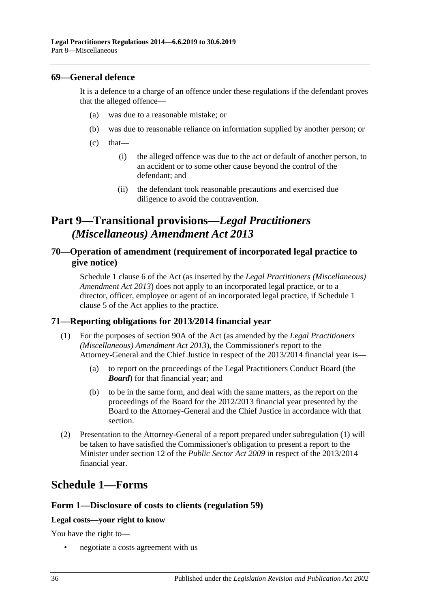#### <span id="page-35-0"></span>**69—General defence**

It is a defence to a charge of an offence under these regulations if the defendant proves that the alleged offence—

- (a) was due to a reasonable mistake; or
- (b) was due to reasonable reliance on information supplied by another person; or
- $(c)$  that—
	- (i) the alleged offence was due to the act or default of another person, to an accident or to some other cause beyond the control of the defendant; and
	- (ii) the defendant took reasonable precautions and exercised due diligence to avoid the contravention.

## <span id="page-35-1"></span>**Part 9—Transitional provisions—***Legal Practitioners (Miscellaneous) Amendment Act 2013*

### <span id="page-35-2"></span>**70—Operation of amendment (requirement of incorporated legal practice to give notice)**

Schedule 1 clause 6 of the Act (as inserted by the *[Legal Practitioners \(Miscellaneous\)](http://www.legislation.sa.gov.au/index.aspx?action=legref&type=act&legtitle=Legal%20Practitioners%20(Miscellaneous)%20Amendment%20Act%202013)  [Amendment Act](http://www.legislation.sa.gov.au/index.aspx?action=legref&type=act&legtitle=Legal%20Practitioners%20(Miscellaneous)%20Amendment%20Act%202013) 2013*) does not apply to an incorporated legal practice, or to a director, officer, employee or agent of an incorporated legal practice, if Schedule 1 clause 5 of the Act applies to the practice.

#### <span id="page-35-5"></span><span id="page-35-3"></span>**71—Reporting obligations for 2013/2014 financial year**

- (1) For the purposes of section 90A of the Act (as amended by the *[Legal Practitioners](http://www.legislation.sa.gov.au/index.aspx?action=legref&type=act&legtitle=Legal%20Practitioners%20(Miscellaneous)%20Amendment%20Act%202013)  [\(Miscellaneous\) Amendment Act](http://www.legislation.sa.gov.au/index.aspx?action=legref&type=act&legtitle=Legal%20Practitioners%20(Miscellaneous)%20Amendment%20Act%202013) 2013*), the Commissioner's report to the Attorney-General and the Chief Justice in respect of the 2013/2014 financial year is—
	- (a) to report on the proceedings of the Legal Practitioners Conduct Board (the *Board*) for that financial year; and
	- (b) to be in the same form, and deal with the same matters, as the report on the proceedings of the Board for the 2012/2013 financial year presented by the Board to the Attorney-General and the Chief Justice in accordance with that section.
- (2) Presentation to the Attorney-General of a report prepared under [subregulation](#page-35-5) (1) will be taken to have satisfied the Commissioner's obligation to present a report to the Minister under section 12 of the *[Public Sector Act](http://www.legislation.sa.gov.au/index.aspx?action=legref&type=act&legtitle=Public%20Sector%20Act%202009) 2009* in respect of the 2013/2014 financial year.

## <span id="page-35-4"></span>**Schedule 1—Forms**

#### **Form 1—Disclosure of costs to clients [\(regulation](#page-33-0) 59)**

#### **Legal costs—your right to know**

You have the right to—

• negotiate a costs agreement with us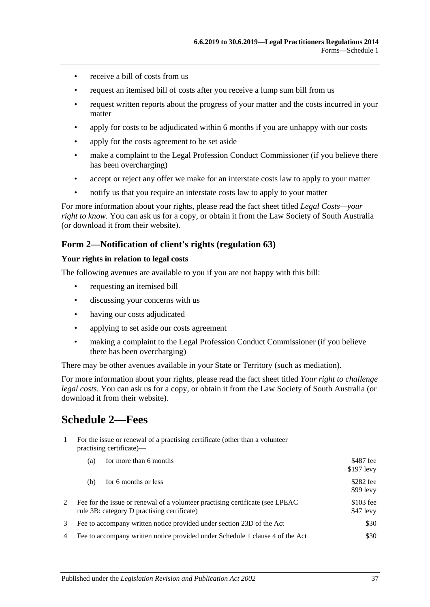- receive a bill of costs from us
- request an itemised bill of costs after you receive a lump sum bill from us
- request written reports about the progress of your matter and the costs incurred in your matter
- apply for costs to be adjudicated within 6 months if you are unhappy with our costs
- apply for the costs agreement to be set aside
- make a complaint to the Legal Profession Conduct Commissioner (if you believe there has been overcharging)
- accept or reject any offer we make for an interstate costs law to apply to your matter
- notify us that you require an interstate costs law to apply to your matter

For more information about your rights, please read the fact sheet titled *Legal Costs—your right to know*. You can ask us for a copy, or obtain it from the Law Society of South Australia (or download it from their website).

#### **Form 2—Notification of client's rights [\(regulation](#page-33-4) 63)**

#### **Your rights in relation to legal costs**

The following avenues are available to you if you are not happy with this bill:

- requesting an itemised bill
- discussing your concerns with us
- having our costs adjudicated
- applying to set aside our costs agreement
- making a complaint to the Legal Profession Conduct Commissioner (if you believe there has been overcharging)

There may be other avenues available in your State or Territory (such as mediation).

For more information about your rights, please read the fact sheet titled *Your right to challenge legal costs*. You can ask us for a copy, or obtain it from the Law Society of South Australia (or download it from their website).

## <span id="page-36-0"></span>**Schedule 2—Fees**

1 For the issue or renewal of a practising certificate (other than a volunteer practising certificate)—

|   | for more than 6 months<br>(a)                                                                                                 | \$487 fee<br>$$197$ levy |
|---|-------------------------------------------------------------------------------------------------------------------------------|--------------------------|
|   | for 6 months or less<br>(b)                                                                                                   | \$282 fee<br>$$99$ levy  |
|   | Fee for the issue or renewal of a volunteer practising certificate (see LPEAC)<br>rule 3B: category D practising certificate) | $$103$ fee<br>\$47 levy  |
|   | Fee to accompany written notice provided under section 23D of the Act                                                         | \$30                     |
| 4 | Fee to accompany written notice provided under Schedule 1 clause 4 of the Act                                                 | \$30                     |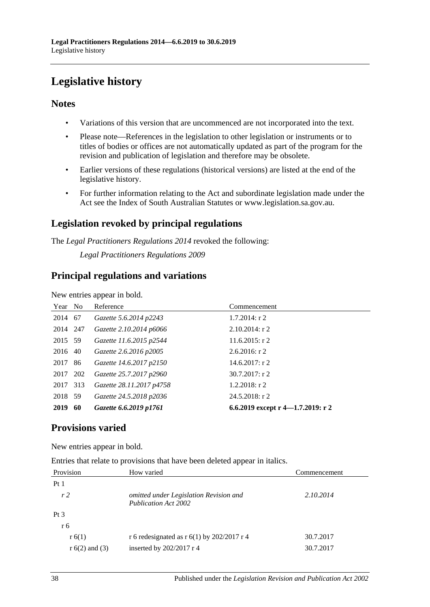# <span id="page-37-0"></span>**Legislative history**

## **Notes**

- Variations of this version that are uncommenced are not incorporated into the text.
- Please note—References in the legislation to other legislation or instruments or to titles of bodies or offices are not automatically updated as part of the program for the revision and publication of legislation and therefore may be obsolete.
- Earlier versions of these regulations (historical versions) are listed at the end of the legislative history.
- For further information relating to the Act and subordinate legislation made under the Act see the Index of South Australian Statutes or www.legislation.sa.gov.au.

## **Legislation revoked by principal regulations**

The *Legal Practitioners Regulations 2014* revoked the following:

*Legal Practitioners Regulations 2009*

### **Principal regulations and variations**

New entries appear in bold.

| Year No  |     | Reference                | Commencement                      |
|----------|-----|--------------------------|-----------------------------------|
| 2014 67  |     | Gazette 5.6.2014 p2243   | $1.7.2014$ : r 2                  |
| 2014 247 |     | Gazette 2.10.2014 p6066  | $2.10.2014$ : r 2                 |
| 2015 59  |     | Gazette 11.6.2015 p2544  | $11.6.2015$ : r 2                 |
| 2016 40  |     | Gazette 2.6.2016 p2005   | $2.6.2016$ : r 2                  |
| 2017     | -86 | Gazette 14.6.2017 p2150  | $14.6.2017:$ r 2                  |
| 2017 202 |     | Gazette 25.7.2017 p2960  | $30.7.2017$ : r 2                 |
| 2017     | 313 | Gazette 28.11.2017 p4758 | $1.2.2018$ : r 2                  |
| 2018 59  |     | Gazette 24.5.2018 p2036  | $24.5.2018$ : r 2                 |
| 2019     | -60 | Gazette 6.6.2019 p1761   | 6.6.2019 except r 4–1.7.2019: r 2 |

## **Provisions varied**

New entries appear in bold.

Entries that relate to provisions that have been deleted appear in italics.

| Provision        | How varied                                                            | Commencement |
|------------------|-----------------------------------------------------------------------|--------------|
| Pt <sub>1</sub>  |                                                                       |              |
| r <sub>2</sub>   | omitted under Legislation Revision and<br><b>Publication Act 2002</b> | 2.10.2014    |
| Pt <sub>3</sub>  |                                                                       |              |
| r 6              |                                                                       |              |
| r(6(1))          | r 6 redesignated as r $6(1)$ by 202/2017 r 4                          | 30.7.2017    |
| $r 6(2)$ and (3) | inserted by $202/2017$ r 4                                            | 30.7.2017    |